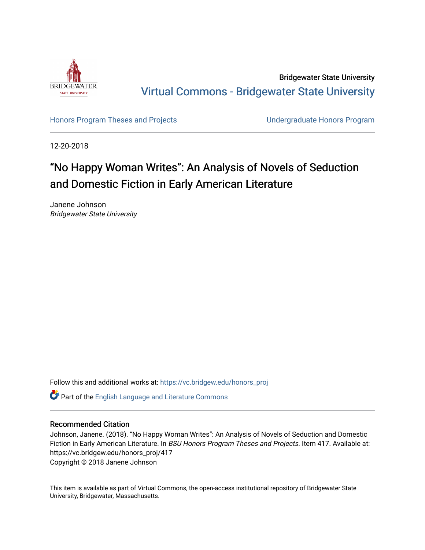

Bridgewater State University [Virtual Commons - Bridgewater State University](https://vc.bridgew.edu/) 

[Honors Program Theses and Projects](https://vc.bridgew.edu/honors_proj) [Undergraduate Honors Program](https://vc.bridgew.edu/honors) 

12-20-2018

# "No Happy Woman Writes": An Analysis of Novels of Seduction and Domestic Fiction in Early American Literature

Janene Johnson Bridgewater State University

Follow this and additional works at: [https://vc.bridgew.edu/honors\\_proj](https://vc.bridgew.edu/honors_proj?utm_source=vc.bridgew.edu%2Fhonors_proj%2F417&utm_medium=PDF&utm_campaign=PDFCoverPages)

Part of the [English Language and Literature Commons](http://network.bepress.com/hgg/discipline/455?utm_source=vc.bridgew.edu%2Fhonors_proj%2F417&utm_medium=PDF&utm_campaign=PDFCoverPages)

### Recommended Citation

Johnson, Janene. (2018). "No Happy Woman Writes": An Analysis of Novels of Seduction and Domestic Fiction in Early American Literature. In BSU Honors Program Theses and Projects. Item 417. Available at: https://vc.bridgew.edu/honors\_proj/417 Copyright © 2018 Janene Johnson

This item is available as part of Virtual Commons, the open-access institutional repository of Bridgewater State University, Bridgewater, Massachusetts.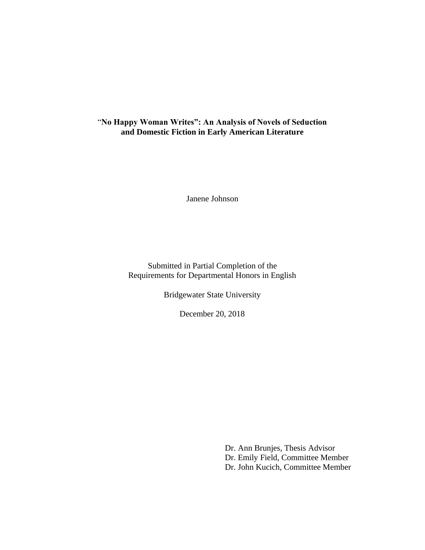# "**No Happy Woman Writes": An Analysis of Novels of Seduction and Domestic Fiction in Early American Literature**

Janene Johnson

Submitted in Partial Completion of the Requirements for Departmental Honors in English

Bridgewater State University

December 20, 2018

Dr. Ann Brunjes, Thesis Advisor Dr. Emily Field, Committee Member Dr. John Kucich, Committee Member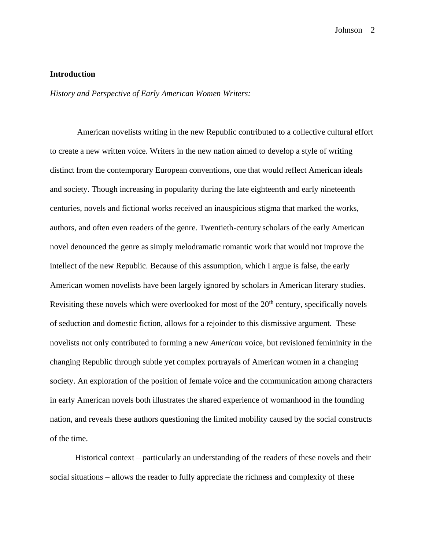### **Introduction**

*History and Perspective of Early American Women Writers:*

American novelists writing in the new Republic contributed to a collective cultural effort to create a new written voice. Writers in the new nation aimed to develop a style of writing distinct from the contemporary European conventions, one that would reflect American ideals and society. Though increasing in popularity during the late eighteenth and early nineteenth centuries, novels and fictional works received an inauspicious stigma that marked the works, authors, and often even readers of the genre. Twentieth-century scholars of the early American novel denounced the genre as simply melodramatic romantic work that would not improve the intellect of the new Republic. Because of this assumption, which I argue is false, the early American women novelists have been largely ignored by scholars in American literary studies. Revisiting these novels which were overlooked for most of the  $20<sup>th</sup>$  century, specifically novels of seduction and domestic fiction, allows for a rejoinder to this dismissive argument. These novelists not only contributed to forming a new *American* voice, but revisioned femininity in the changing Republic through subtle yet complex portrayals of American women in a changing society. An exploration of the position of female voice and the communication among characters in early American novels both illustrates the shared experience of womanhood in the founding nation, and reveals these authors questioning the limited mobility caused by the social constructs of the time.

Historical context – particularly an understanding of the readers of these novels and their social situations – allows the reader to fully appreciate the richness and complexity of these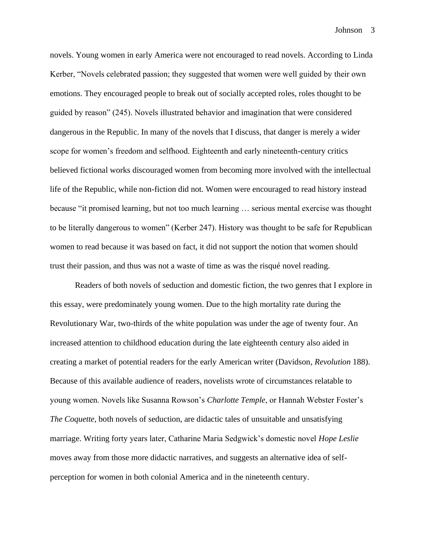novels. Young women in early America were not encouraged to read novels. According to Linda Kerber, "Novels celebrated passion; they suggested that women were well guided by their own emotions. They encouraged people to break out of socially accepted roles, roles thought to be guided by reason" (245). Novels illustrated behavior and imagination that were considered dangerous in the Republic. In many of the novels that I discuss, that danger is merely a wider scope for women's freedom and selfhood. Eighteenth and early nineteenth-century critics believed fictional works discouraged women from becoming more involved with the intellectual life of the Republic, while non-fiction did not. Women were encouraged to read history instead because "it promised learning, but not too much learning … serious mental exercise was thought to be literally dangerous to women" (Kerber 247). History was thought to be safe for Republican women to read because it was based on fact, it did not support the notion that women should trust their passion, and thus was not a waste of time as was the risqué novel reading.

Readers of both novels of seduction and domestic fiction, the two genres that I explore in this essay, were predominately young women. Due to the high mortality rate during the Revolutionary War, two-thirds of the white population was under the age of twenty four. An increased attention to childhood education during the late eighteenth century also aided in creating a market of potential readers for the early American writer (Davidson, *Revolution* 188). Because of this available audience of readers, novelists wrote of circumstances relatable to young women. Novels like Susanna Rowson's *Charlotte Temple*, or Hannah Webster Foster's *The Coquette*, both novels of seduction, are didactic tales of unsuitable and unsatisfying marriage. Writing forty years later, Catharine Maria Sedgwick's domestic novel *Hope Leslie* moves away from those more didactic narratives, and suggests an alternative idea of selfperception for women in both colonial America and in the nineteenth century.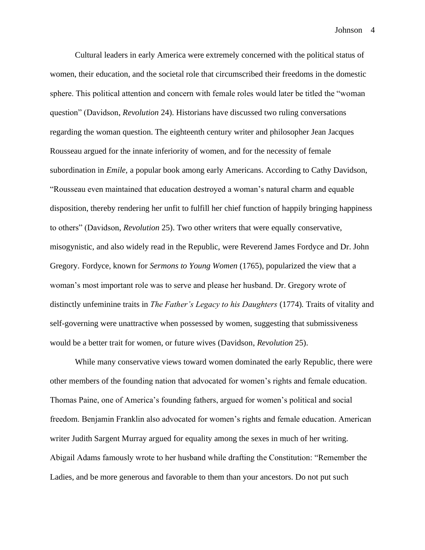Cultural leaders in early America were extremely concerned with the political status of women, their education, and the societal role that circumscribed their freedoms in the domestic sphere. This political attention and concern with female roles would later be titled the "woman question" (Davidson, *Revolution* 24). Historians have discussed two ruling conversations regarding the woman question. The eighteenth century writer and philosopher Jean Jacques Rousseau argued for the innate inferiority of women, and for the necessity of female subordination in *Emile,* a popular book among early Americans. According to Cathy Davidson, "Rousseau even maintained that education destroyed a woman's natural charm and equable disposition, thereby rendering her unfit to fulfill her chief function of happily bringing happiness to others" (Davidson, *Revolution* 25). Two other writers that were equally conservative, misogynistic, and also widely read in the Republic, were Reverend James Fordyce and Dr. John Gregory. Fordyce, known for *Sermons to Young Women* (1765), popularized the view that a woman's most important role was to serve and please her husband. Dr. Gregory wrote of distinctly unfeminine traits in *The Father's Legacy to his Daughters* (1774)*.* Traits of vitality and self-governing were unattractive when possessed by women, suggesting that submissiveness would be a better trait for women, or future wives (Davidson, *Revolution* 25).

While many conservative views toward women dominated the early Republic, there were other members of the founding nation that advocated for women's rights and female education. Thomas Paine, one of America's founding fathers, argued for women's political and social freedom. Benjamin Franklin also advocated for women's rights and female education. American writer Judith Sargent Murray argued for equality among the sexes in much of her writing. Abigail Adams famously wrote to her husband while drafting the Constitution: "Remember the Ladies, and be more generous and favorable to them than your ancestors. Do not put such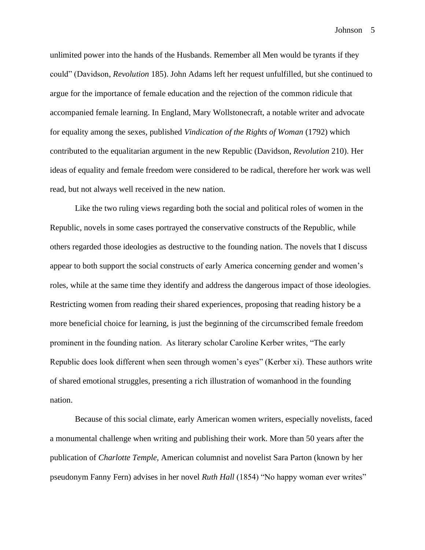unlimited power into the hands of the Husbands. Remember all Men would be tyrants if they could" (Davidson, *Revolution* 185). John Adams left her request unfulfilled, but she continued to argue for the importance of female education and the rejection of the common ridicule that accompanied female learning. In England, Mary Wollstonecraft, a notable writer and advocate for equality among the sexes, published *Vindication of the Rights of Woman* (1792) which contributed to the equalitarian argument in the new Republic (Davidson, *Revolution* 210). Her ideas of equality and female freedom were considered to be radical, therefore her work was well read, but not always well received in the new nation.

Like the two ruling views regarding both the social and political roles of women in the Republic, novels in some cases portrayed the conservative constructs of the Republic, while others regarded those ideologies as destructive to the founding nation. The novels that I discuss appear to both support the social constructs of early America concerning gender and women's roles, while at the same time they identify and address the dangerous impact of those ideologies. Restricting women from reading their shared experiences, proposing that reading history be a more beneficial choice for learning, is just the beginning of the circumscribed female freedom prominent in the founding nation. As literary scholar Caroline Kerber writes, "The early Republic does look different when seen through women's eyes" (Kerber xi). These authors write of shared emotional struggles, presenting a rich illustration of womanhood in the founding nation.

Because of this social climate, early American women writers, especially novelists, faced a monumental challenge when writing and publishing their work. More than 50 years after the publication of *Charlotte Temple*, American columnist and novelist Sara Parton (known by her pseudonym Fanny Fern) advises in her novel *Ruth Hall* (1854) "No happy woman ever writes"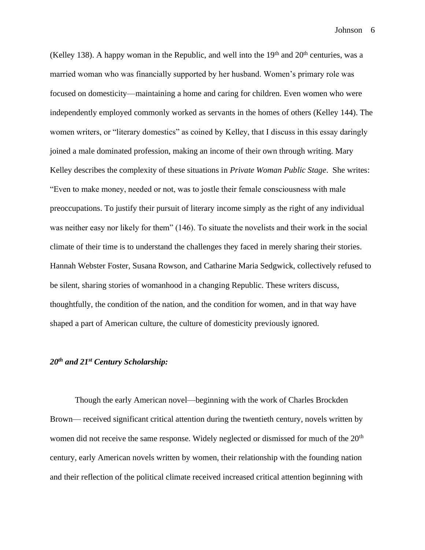(Kelley 138). A happy woman in the Republic, and well into the  $19<sup>th</sup>$  and  $20<sup>th</sup>$  centuries, was a married woman who was financially supported by her husband. Women's primary role was focused on domesticity—maintaining a home and caring for children. Even women who were independently employed commonly worked as servants in the homes of others (Kelley 144). The women writers, or "literary domestics" as coined by Kelley, that I discuss in this essay daringly joined a male dominated profession, making an income of their own through writing. Mary Kelley describes the complexity of these situations in *Private Woman Public Stage*. She writes: "Even to make money, needed or not, was to jostle their female consciousness with male preoccupations. To justify their pursuit of literary income simply as the right of any individual was neither easy nor likely for them" (146). To situate the novelists and their work in the social climate of their time is to understand the challenges they faced in merely sharing their stories. Hannah Webster Foster, Susana Rowson, and Catharine Maria Sedgwick, collectively refused to be silent, sharing stories of womanhood in a changing Republic. These writers discuss, thoughtfully, the condition of the nation, and the condition for women, and in that way have shaped a part of American culture, the culture of domesticity previously ignored.

## *20th and 21st Century Scholarship:*

Though the early American novel—beginning with the work of Charles Brockden Brown— received significant critical attention during the twentieth century, novels written by women did not receive the same response. Widely neglected or dismissed for much of the 20<sup>th</sup> century, early American novels written by women, their relationship with the founding nation and their reflection of the political climate received increased critical attention beginning with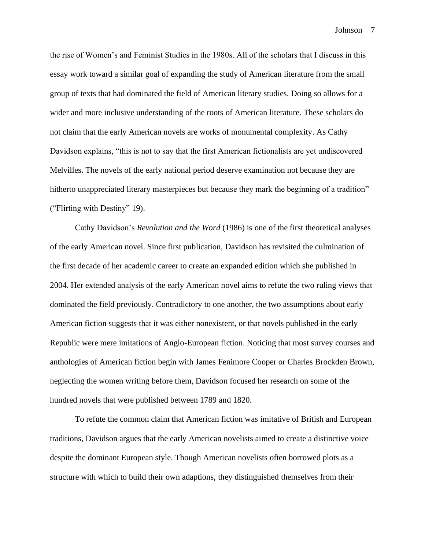the rise of Women's and Feminist Studies in the 1980s. All of the scholars that I discuss in this essay work toward a similar goal of expanding the study of American literature from the small group of texts that had dominated the field of American literary studies. Doing so allows for a wider and more inclusive understanding of the roots of American literature. These scholars do not claim that the early American novels are works of monumental complexity. As Cathy Davidson explains, "this is not to say that the first American fictionalists are yet undiscovered Melvilles. The novels of the early national period deserve examination not because they are hitherto unappreciated literary masterpieces but because they mark the beginning of a tradition" ("Flirting with Destiny" 19).

Cathy Davidson's *Revolution and the Word* (1986) is one of the first theoretical analyses of the early American novel. Since first publication, Davidson has revisited the culmination of the first decade of her academic career to create an expanded edition which she published in 2004. Her extended analysis of the early American novel aims to refute the two ruling views that dominated the field previously. Contradictory to one another, the two assumptions about early American fiction suggests that it was either nonexistent, or that novels published in the early Republic were mere imitations of Anglo-European fiction. Noticing that most survey courses and anthologies of American fiction begin with James Fenimore Cooper or Charles Brockden Brown, neglecting the women writing before them, Davidson focused her research on some of the hundred novels that were published between 1789 and 1820.

To refute the common claim that American fiction was imitative of British and European traditions, Davidson argues that the early American novelists aimed to create a distinctive voice despite the dominant European style. Though American novelists often borrowed plots as a structure with which to build their own adaptions, they distinguished themselves from their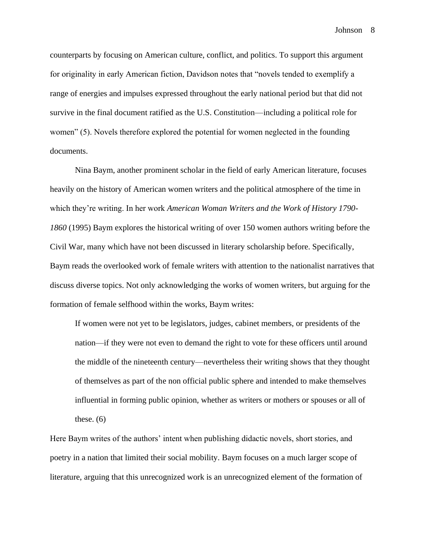counterparts by focusing on American culture, conflict, and politics. To support this argument for originality in early American fiction, Davidson notes that "novels tended to exemplify a range of energies and impulses expressed throughout the early national period but that did not survive in the final document ratified as the U.S. Constitution—including a political role for women" (5). Novels therefore explored the potential for women neglected in the founding documents.

Nina Baym, another prominent scholar in the field of early American literature, focuses heavily on the history of American women writers and the political atmosphere of the time in which they're writing. In her work *American Woman Writers and the Work of History 1790- 1860* (1995) Baym explores the historical writing of over 150 women authors writing before the Civil War, many which have not been discussed in literary scholarship before. Specifically, Baym reads the overlooked work of female writers with attention to the nationalist narratives that discuss diverse topics. Not only acknowledging the works of women writers, but arguing for the formation of female selfhood within the works, Baym writes:

If women were not yet to be legislators, judges, cabinet members, or presidents of the nation—if they were not even to demand the right to vote for these officers until around the middle of the nineteenth century—nevertheless their writing shows that they thought of themselves as part of the non official public sphere and intended to make themselves influential in forming public opinion, whether as writers or mothers or spouses or all of these.  $(6)$ 

Here Baym writes of the authors' intent when publishing didactic novels, short stories, and poetry in a nation that limited their social mobility. Baym focuses on a much larger scope of literature, arguing that this unrecognized work is an unrecognized element of the formation of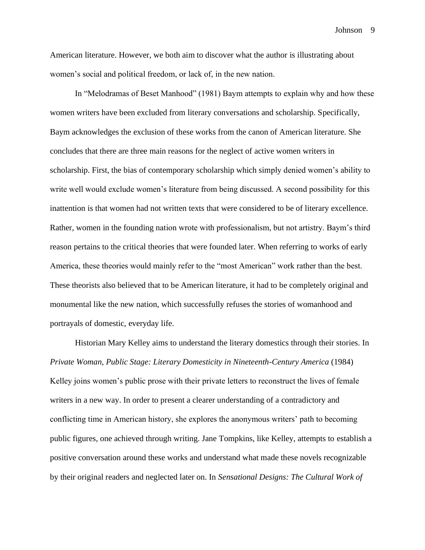American literature. However, we both aim to discover what the author is illustrating about women's social and political freedom, or lack of, in the new nation.

In "Melodramas of Beset Manhood" (1981) Baym attempts to explain why and how these women writers have been excluded from literary conversations and scholarship. Specifically, Baym acknowledges the exclusion of these works from the canon of American literature. She concludes that there are three main reasons for the neglect of active women writers in scholarship. First, the bias of contemporary scholarship which simply denied women's ability to write well would exclude women's literature from being discussed. A second possibility for this inattention is that women had not written texts that were considered to be of literary excellence. Rather, women in the founding nation wrote with professionalism, but not artistry. Baym's third reason pertains to the critical theories that were founded later. When referring to works of early America, these theories would mainly refer to the "most American" work rather than the best. These theorists also believed that to be American literature, it had to be completely original and monumental like the new nation, which successfully refuses the stories of womanhood and portrayals of domestic, everyday life.

Historian Mary Kelley aims to understand the literary domestics through their stories. In *Private Woman, Public Stage: Literary Domesticity in Nineteenth-Century America* (1984) Kelley joins women's public prose with their private letters to reconstruct the lives of female writers in a new way. In order to present a clearer understanding of a contradictory and conflicting time in American history, she explores the anonymous writers' path to becoming public figures, one achieved through writing. Jane Tompkins, like Kelley, attempts to establish a positive conversation around these works and understand what made these novels recognizable by their original readers and neglected later on. In *Sensational Designs: The Cultural Work of*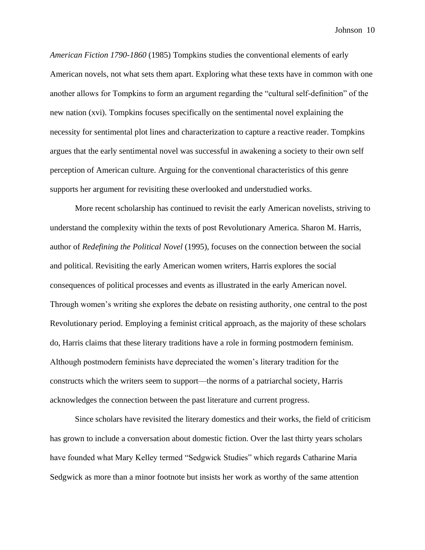*American Fiction 1790-1860* (1985) Tompkins studies the conventional elements of early American novels, not what sets them apart. Exploring what these texts have in common with one another allows for Tompkins to form an argument regarding the "cultural self-definition" of the new nation (xvi). Tompkins focuses specifically on the sentimental novel explaining the necessity for sentimental plot lines and characterization to capture a reactive reader. Tompkins argues that the early sentimental novel was successful in awakening a society to their own self perception of American culture. Arguing for the conventional characteristics of this genre supports her argument for revisiting these overlooked and understudied works.

More recent scholarship has continued to revisit the early American novelists, striving to understand the complexity within the texts of post Revolutionary America. Sharon M. Harris, author of *Redefining the Political Novel* (1995), focuses on the connection between the social and political. Revisiting the early American women writers, Harris explores the social consequences of political processes and events as illustrated in the early American novel. Through women's writing she explores the debate on resisting authority, one central to the post Revolutionary period. Employing a feminist critical approach, as the majority of these scholars do, Harris claims that these literary traditions have a role in forming postmodern feminism. Although postmodern feminists have depreciated the women's literary tradition for the constructs which the writers seem to support—the norms of a patriarchal society, Harris acknowledges the connection between the past literature and current progress.

Since scholars have revisited the literary domestics and their works, the field of criticism has grown to include a conversation about domestic fiction. Over the last thirty years scholars have founded what Mary Kelley termed "Sedgwick Studies" which regards Catharine Maria Sedgwick as more than a minor footnote but insists her work as worthy of the same attention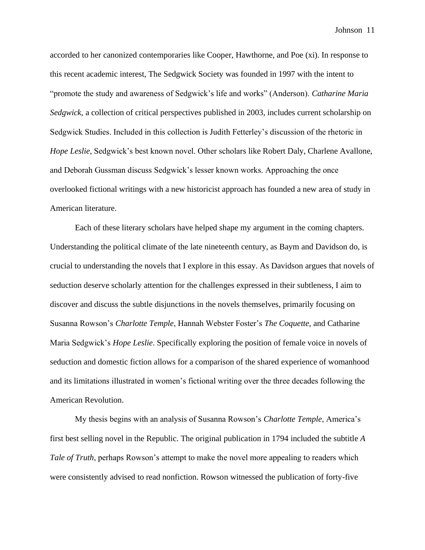accorded to her canonized contemporaries like Cooper, Hawthorne, and Poe (xi). In response to this recent academic interest, The Sedgwick Society was founded in 1997 with the intent to "promote the study and awareness of Sedgwick's life and works" (Anderson). *Catharine Maria Sedgwick*, a collection of critical perspectives published in 2003, includes current scholarship on Sedgwick Studies. Included in this collection is Judith Fetterley's discussion of the rhetoric in *Hope Leslie*, Sedgwick's best known novel. Other scholars like Robert Daly, Charlene Avallone, and Deborah Gussman discuss Sedgwick's lesser known works. Approaching the once overlooked fictional writings with a new historicist approach has founded a new area of study in American literature.

Each of these literary scholars have helped shape my argument in the coming chapters. Understanding the political climate of the late nineteenth century, as Baym and Davidson do, is crucial to understanding the novels that I explore in this essay. As Davidson argues that novels of seduction deserve scholarly attention for the challenges expressed in their subtleness, I aim to discover and discuss the subtle disjunctions in the novels themselves, primarily focusing on Susanna Rowson's *Charlotte Temple*, Hannah Webster Foster's *The Coquette*, and Catharine Maria Sedgwick's *Hope Leslie*. Specifically exploring the position of female voice in novels of seduction and domestic fiction allows for a comparison of the shared experience of womanhood and its limitations illustrated in women's fictional writing over the three decades following the American Revolution.

My thesis begins with an analysis of Susanna Rowson's *Charlotte Temple*, America's first best selling novel in the Republic. The original publication in 1794 included the subtitle *A Tale of Truth*, perhaps Rowson's attempt to make the novel more appealing to readers which were consistently advised to read nonfiction. Rowson witnessed the publication of forty-five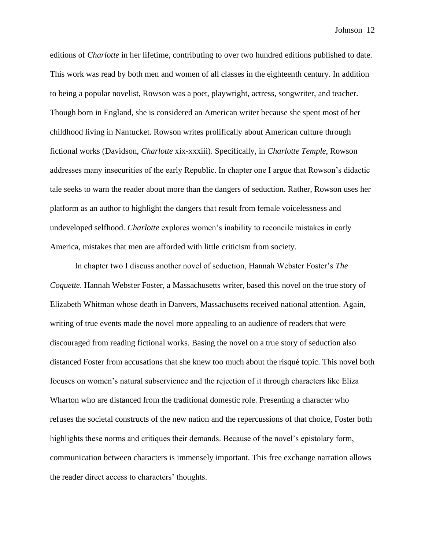editions of *Charlotte* in her lifetime, contributing to over two hundred editions published to date. This work was read by both men and women of all classes in the eighteenth century. In addition to being a popular novelist, Rowson was a poet, playwright, actress, songwriter, and teacher. Though born in England, she is considered an American writer because she spent most of her childhood living in Nantucket. Rowson writes prolifically about American culture through fictional works (Davidson, *Charlotte* xix-xxxiii). Specifically, in *Charlotte Temple*, Rowson addresses many insecurities of the early Republic. In chapter one I argue that Rowson's didactic tale seeks to warn the reader about more than the dangers of seduction. Rather, Rowson uses her platform as an author to highlight the dangers that result from female voicelessness and undeveloped selfhood. *Charlotte* explores women's inability to reconcile mistakes in early America, mistakes that men are afforded with little criticism from society.

In chapter two I discuss another novel of seduction, Hannah Webster Foster's *The Coquette*. Hannah Webster Foster, a Massachusetts writer, based this novel on the true story of Elizabeth Whitman whose death in Danvers, Massachusetts received national attention. Again, writing of true events made the novel more appealing to an audience of readers that were discouraged from reading fictional works. Basing the novel on a true story of seduction also distanced Foster from accusations that she knew too much about the risqué topic. This novel both focuses on women's natural subservience and the rejection of it through characters like Eliza Wharton who are distanced from the traditional domestic role. Presenting a character who refuses the societal constructs of the new nation and the repercussions of that choice, Foster both highlights these norms and critiques their demands. Because of the novel's epistolary form, communication between characters is immensely important. This free exchange narration allows the reader direct access to characters' thoughts.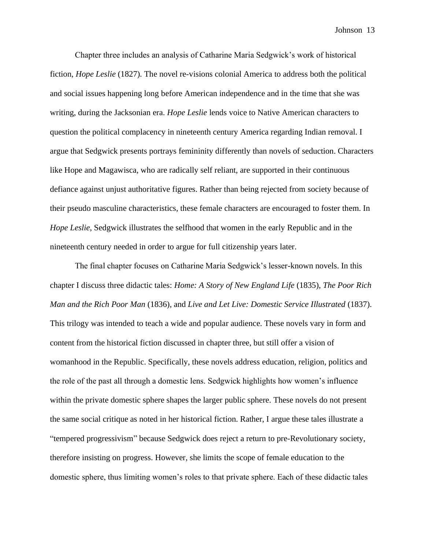Chapter three includes an analysis of Catharine Maria Sedgwick's work of historical fiction, *Hope Leslie* (1827). The novel re-visions colonial America to address both the political and social issues happening long before American independence and in the time that she was writing, during the Jacksonian era. *Hope Leslie* lends voice to Native American characters to question the political complacency in nineteenth century America regarding Indian removal. I argue that Sedgwick presents portrays femininity differently than novels of seduction. Characters like Hope and Magawisca, who are radically self reliant, are supported in their continuous defiance against unjust authoritative figures. Rather than being rejected from society because of their pseudo masculine characteristics, these female characters are encouraged to foster them. In *Hope Leslie*, Sedgwick illustrates the selfhood that women in the early Republic and in the nineteenth century needed in order to argue for full citizenship years later.

The final chapter focuses on Catharine Maria Sedgwick's lesser-known novels. In this chapter I discuss three didactic tales: *Home: A Story of New England Life* (1835), *The Poor Rich Man and the Rich Poor Man* (1836), and *Live and Let Live: Domestic Service Illustrated* (1837). This trilogy was intended to teach a wide and popular audience. These novels vary in form and content from the historical fiction discussed in chapter three, but still offer a vision of womanhood in the Republic. Specifically, these novels address education, religion, politics and the role of the past all through a domestic lens. Sedgwick highlights how women's influence within the private domestic sphere shapes the larger public sphere. These novels do not present the same social critique as noted in her historical fiction. Rather, I argue these tales illustrate a "tempered progressivism" because Sedgwick does reject a return to pre-Revolutionary society, therefore insisting on progress. However, she limits the scope of female education to the domestic sphere, thus limiting women's roles to that private sphere. Each of these didactic tales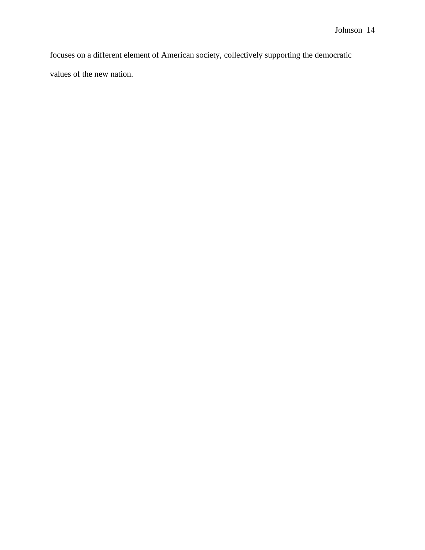focuses on a different element of American society, collectively supporting the democratic values of the new nation.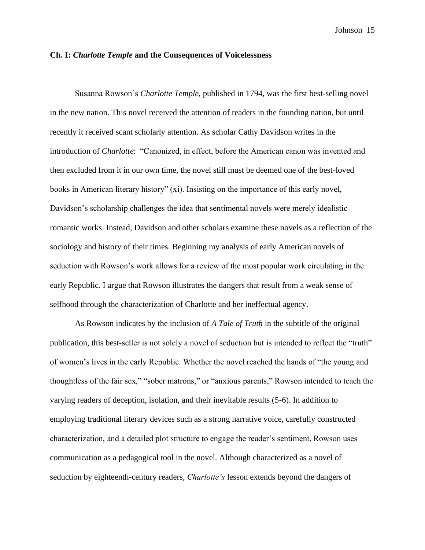#### **Ch. I:** *Charlotte Temple* **and the Consequences of Voicelessness**

Susanna Rowson's *Charlotte Temple,* published in 1794, was the first best-selling novel in the new nation. This novel received the attention of readers in the founding nation, but until recently it received scant scholarly attention. As scholar Cathy Davidson writes in the introduction of *Charlotte*: "Canonized, in effect, before the American canon was invented and then excluded from it in our own time, the novel still must be deemed one of the best-loved books in American literary history" (xi). Insisting on the importance of this early novel, Davidson's scholarship challenges the idea that sentimental novels were merely idealistic romantic works. Instead, Davidson and other scholars examine these novels as a reflection of the sociology and history of their times. Beginning my analysis of early American novels of seduction with Rowson's work allows for a review of the most popular work circulating in the early Republic. I argue that Rowson illustrates the dangers that result from a weak sense of selfhood through the characterization of Charlotte and her ineffectual agency.

As Rowson indicates by the inclusion of *A Tale of Truth* in the subtitle of the original publication, this best-seller is not solely a novel of seduction but is intended to reflect the "truth" of women's lives in the early Republic. Whether the novel reached the hands of "the young and thoughtless of the fair sex," "sober matrons," or "anxious parents," Rowson intended to teach the varying readers of deception, isolation, and their inevitable results (5-6). In addition to employing traditional literary devices such as a strong narrative voice, carefully constructed characterization, and a detailed plot structure to engage the reader's sentiment, Rowson uses communication as a pedagogical tool in the novel. Although characterized as a novel of seduction by eighteenth-century readers, *Charlotte's* lesson extends beyond the dangers of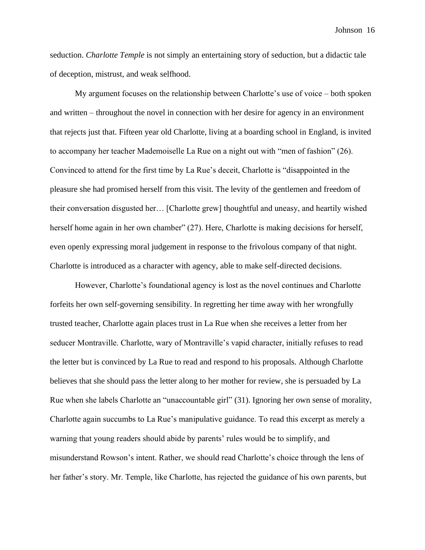seduction. *Charlotte Temple* is not simply an entertaining story of seduction, but a didactic tale of deception, mistrust, and weak selfhood.

My argument focuses on the relationship between Charlotte's use of voice – both spoken and written – throughout the novel in connection with her desire for agency in an environment that rejects just that. Fifteen year old Charlotte, living at a boarding school in England, is invited to accompany her teacher Mademoiselle La Rue on a night out with "men of fashion" (26). Convinced to attend for the first time by La Rue's deceit, Charlotte is "disappointed in the pleasure she had promised herself from this visit. The levity of the gentlemen and freedom of their conversation disgusted her… [Charlotte grew] thoughtful and uneasy, and heartily wished herself home again in her own chamber" (27). Here, Charlotte is making decisions for herself, even openly expressing moral judgement in response to the frivolous company of that night. Charlotte is introduced as a character with agency, able to make self-directed decisions.

However, Charlotte's foundational agency is lost as the novel continues and Charlotte forfeits her own self-governing sensibility. In regretting her time away with her wrongfully trusted teacher, Charlotte again places trust in La Rue when she receives a letter from her seducer Montraville. Charlotte, wary of Montraville's vapid character, initially refuses to read the letter but is convinced by La Rue to read and respond to his proposals. Although Charlotte believes that she should pass the letter along to her mother for review, she is persuaded by La Rue when she labels Charlotte an "unaccountable girl" (31). Ignoring her own sense of morality, Charlotte again succumbs to La Rue's manipulative guidance. To read this excerpt as merely a warning that young readers should abide by parents' rules would be to simplify, and misunderstand Rowson's intent. Rather, we should read Charlotte's choice through the lens of her father's story. Mr. Temple, like Charlotte, has rejected the guidance of his own parents, but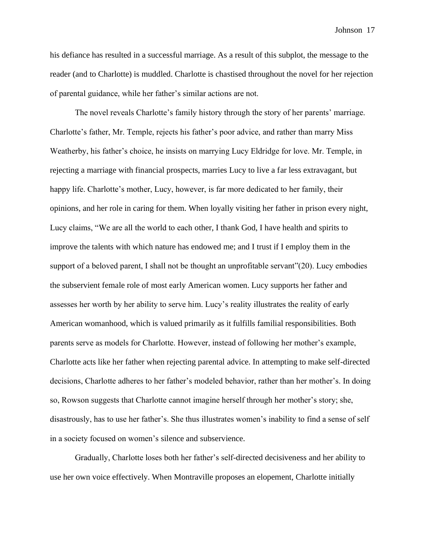his defiance has resulted in a successful marriage. As a result of this subplot, the message to the reader (and to Charlotte) is muddled. Charlotte is chastised throughout the novel for her rejection of parental guidance, while her father's similar actions are not.

The novel reveals Charlotte's family history through the story of her parents' marriage. Charlotte's father, Mr. Temple, rejects his father's poor advice, and rather than marry Miss Weatherby, his father's choice, he insists on marrying Lucy Eldridge for love. Mr. Temple, in rejecting a marriage with financial prospects, marries Lucy to live a far less extravagant, but happy life. Charlotte's mother, Lucy, however, is far more dedicated to her family, their opinions, and her role in caring for them. When loyally visiting her father in prison every night, Lucy claims, "We are all the world to each other, I thank God, I have health and spirits to improve the talents with which nature has endowed me; and I trust if I employ them in the support of a beloved parent, I shall not be thought an unprofitable servant"(20). Lucy embodies the subservient female role of most early American women. Lucy supports her father and assesses her worth by her ability to serve him. Lucy's reality illustrates the reality of early American womanhood, which is valued primarily as it fulfills familial responsibilities. Both parents serve as models for Charlotte. However, instead of following her mother's example, Charlotte acts like her father when rejecting parental advice. In attempting to make self-directed decisions, Charlotte adheres to her father's modeled behavior, rather than her mother's. In doing so, Rowson suggests that Charlotte cannot imagine herself through her mother's story; she, disastrously, has to use her father's. She thus illustrates women's inability to find a sense of self in a society focused on women's silence and subservience.

Gradually, Charlotte loses both her father's self-directed decisiveness and her ability to use her own voice effectively. When Montraville proposes an elopement, Charlotte initially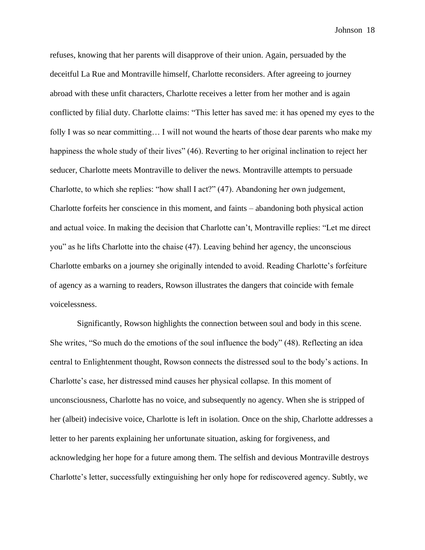refuses, knowing that her parents will disapprove of their union. Again, persuaded by the deceitful La Rue and Montraville himself, Charlotte reconsiders. After agreeing to journey abroad with these unfit characters, Charlotte receives a letter from her mother and is again conflicted by filial duty. Charlotte claims: "This letter has saved me: it has opened my eyes to the folly I was so near committing... I will not wound the hearts of those dear parents who make my happiness the whole study of their lives" (46). Reverting to her original inclination to reject her seducer, Charlotte meets Montraville to deliver the news. Montraville attempts to persuade Charlotte, to which she replies: "how shall I act?" (47). Abandoning her own judgement, Charlotte forfeits her conscience in this moment, and faints – abandoning both physical action and actual voice. In making the decision that Charlotte can't, Montraville replies: "Let me direct you" as he lifts Charlotte into the chaise (47). Leaving behind her agency, the unconscious Charlotte embarks on a journey she originally intended to avoid. Reading Charlotte's forfeiture of agency as a warning to readers, Rowson illustrates the dangers that coincide with female voicelessness.

Significantly, Rowson highlights the connection between soul and body in this scene. She writes, "So much do the emotions of the soul influence the body" (48). Reflecting an idea central to Enlightenment thought, Rowson connects the distressed soul to the body's actions. In Charlotte's case, her distressed mind causes her physical collapse. In this moment of unconsciousness, Charlotte has no voice, and subsequently no agency. When she is stripped of her (albeit) indecisive voice, Charlotte is left in isolation. Once on the ship, Charlotte addresses a letter to her parents explaining her unfortunate situation, asking for forgiveness, and acknowledging her hope for a future among them. The selfish and devious Montraville destroys Charlotte's letter, successfully extinguishing her only hope for rediscovered agency. Subtly, we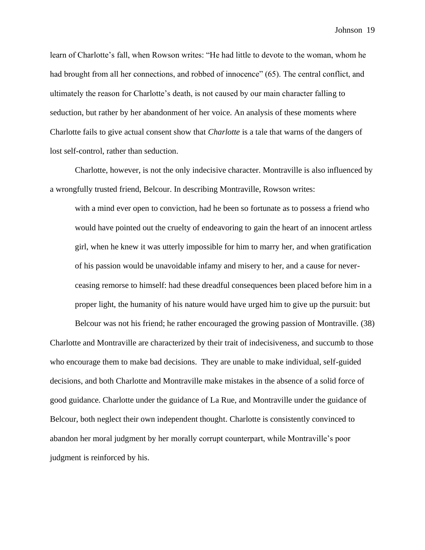learn of Charlotte's fall, when Rowson writes: "He had little to devote to the woman, whom he had brought from all her connections, and robbed of innocence" (65). The central conflict, and ultimately the reason for Charlotte's death, is not caused by our main character falling to seduction, but rather by her abandonment of her voice. An analysis of these moments where Charlotte fails to give actual consent show that *Charlotte* is a tale that warns of the dangers of lost self-control, rather than seduction.

Charlotte, however, is not the only indecisive character. Montraville is also influenced by a wrongfully trusted friend, Belcour. In describing Montraville, Rowson writes:

with a mind ever open to conviction, had he been so fortunate as to possess a friend who would have pointed out the cruelty of endeavoring to gain the heart of an innocent artless girl, when he knew it was utterly impossible for him to marry her, and when gratification of his passion would be unavoidable infamy and misery to her, and a cause for neverceasing remorse to himself: had these dreadful consequences been placed before him in a proper light, the humanity of his nature would have urged him to give up the pursuit: but

Belcour was not his friend; he rather encouraged the growing passion of Montraville. (38) Charlotte and Montraville are characterized by their trait of indecisiveness, and succumb to those who encourage them to make bad decisions. They are unable to make individual, self-guided decisions, and both Charlotte and Montraville make mistakes in the absence of a solid force of good guidance. Charlotte under the guidance of La Rue, and Montraville under the guidance of Belcour, both neglect their own independent thought. Charlotte is consistently convinced to abandon her moral judgment by her morally corrupt counterpart, while Montraville's poor judgment is reinforced by his.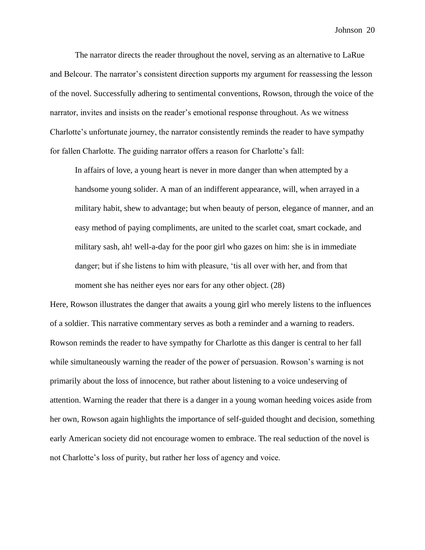The narrator directs the reader throughout the novel, serving as an alternative to LaRue and Belcour. The narrator's consistent direction supports my argument for reassessing the lesson of the novel. Successfully adhering to sentimental conventions, Rowson, through the voice of the narrator, invites and insists on the reader's emotional response throughout. As we witness Charlotte's unfortunate journey, the narrator consistently reminds the reader to have sympathy for fallen Charlotte. The guiding narrator offers a reason for Charlotte's fall:

In affairs of love, a young heart is never in more danger than when attempted by a handsome young solider. A man of an indifferent appearance, will, when arrayed in a military habit, shew to advantage; but when beauty of person, elegance of manner, and an easy method of paying compliments, are united to the scarlet coat, smart cockade, and military sash, ah! well-a-day for the poor girl who gazes on him: she is in immediate danger; but if she listens to him with pleasure, 'tis all over with her, and from that moment she has neither eyes nor ears for any other object. (28)

Here, Rowson illustrates the danger that awaits a young girl who merely listens to the influences of a soldier. This narrative commentary serves as both a reminder and a warning to readers. Rowson reminds the reader to have sympathy for Charlotte as this danger is central to her fall while simultaneously warning the reader of the power of persuasion. Rowson's warning is not primarily about the loss of innocence, but rather about listening to a voice undeserving of attention. Warning the reader that there is a danger in a young woman heeding voices aside from her own, Rowson again highlights the importance of self-guided thought and decision, something early American society did not encourage women to embrace. The real seduction of the novel is not Charlotte's loss of purity, but rather her loss of agency and voice.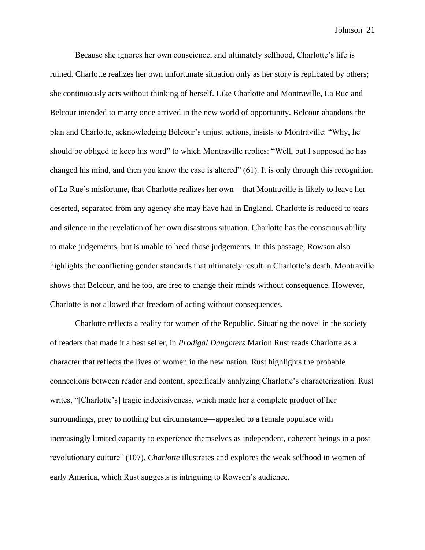Because she ignores her own conscience, and ultimately selfhood, Charlotte's life is ruined. Charlotte realizes her own unfortunate situation only as her story is replicated by others; she continuously acts without thinking of herself. Like Charlotte and Montraville, La Rue and Belcour intended to marry once arrived in the new world of opportunity. Belcour abandons the plan and Charlotte, acknowledging Belcour's unjust actions, insists to Montraville: "Why, he should be obliged to keep his word" to which Montraville replies: "Well, but I supposed he has changed his mind, and then you know the case is altered" (61). It is only through this recognition of La Rue's misfortune, that Charlotte realizes her own—that Montraville is likely to leave her deserted, separated from any agency she may have had in England. Charlotte is reduced to tears and silence in the revelation of her own disastrous situation. Charlotte has the conscious ability to make judgements, but is unable to heed those judgements. In this passage, Rowson also highlights the conflicting gender standards that ultimately result in Charlotte's death. Montraville shows that Belcour, and he too, are free to change their minds without consequence. However, Charlotte is not allowed that freedom of acting without consequences.

Charlotte reflects a reality for women of the Republic. Situating the novel in the society of readers that made it a best seller, in *Prodigal Daughters* Marion Rust reads Charlotte as a character that reflects the lives of women in the new nation. Rust highlights the probable connections between reader and content, specifically analyzing Charlotte's characterization. Rust writes, "[Charlotte's] tragic indecisiveness, which made her a complete product of her surroundings, prey to nothing but circumstance—appealed to a female populace with increasingly limited capacity to experience themselves as independent, coherent beings in a post revolutionary culture" (107). *Charlotte* illustrates and explores the weak selfhood in women of early America, which Rust suggests is intriguing to Rowson's audience.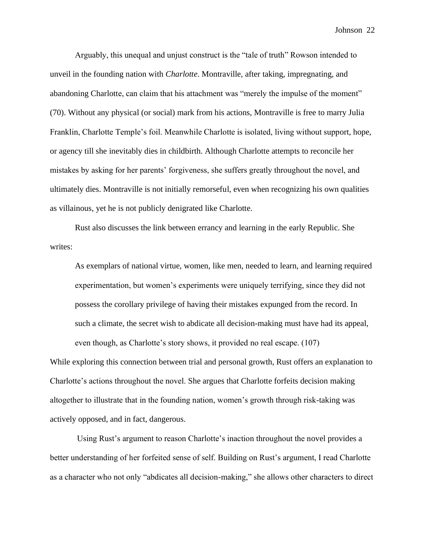Arguably, this unequal and unjust construct is the "tale of truth" Rowson intended to unveil in the founding nation with *Charlotte*. Montraville, after taking, impregnating, and abandoning Charlotte, can claim that his attachment was "merely the impulse of the moment" (70). Without any physical (or social) mark from his actions, Montraville is free to marry Julia Franklin, Charlotte Temple's foil. Meanwhile Charlotte is isolated, living without support, hope, or agency till she inevitably dies in childbirth. Although Charlotte attempts to reconcile her mistakes by asking for her parents' forgiveness, she suffers greatly throughout the novel, and ultimately dies. Montraville is not initially remorseful, even when recognizing his own qualities as villainous, yet he is not publicly denigrated like Charlotte.

Rust also discusses the link between errancy and learning in the early Republic. She writes:

As exemplars of national virtue, women, like men, needed to learn, and learning required experimentation, but women's experiments were uniquely terrifying, since they did not possess the corollary privilege of having their mistakes expunged from the record. In such a climate, the secret wish to abdicate all decision-making must have had its appeal, even though, as Charlotte's story shows, it provided no real escape. (107)

While exploring this connection between trial and personal growth, Rust offers an explanation to Charlotte's actions throughout the novel. She argues that Charlotte forfeits decision making altogether to illustrate that in the founding nation, women's growth through risk-taking was actively opposed, and in fact, dangerous.

Using Rust's argument to reason Charlotte's inaction throughout the novel provides a better understanding of her forfeited sense of self. Building on Rust's argument, I read Charlotte as a character who not only "abdicates all decision-making," she allows other characters to direct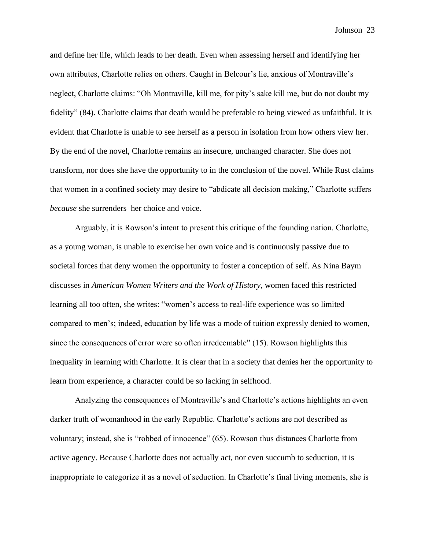and define her life, which leads to her death. Even when assessing herself and identifying her own attributes, Charlotte relies on others. Caught in Belcour's lie, anxious of Montraville's neglect, Charlotte claims: "Oh Montraville, kill me, for pity's sake kill me, but do not doubt my fidelity" (84). Charlotte claims that death would be preferable to being viewed as unfaithful. It is evident that Charlotte is unable to see herself as a person in isolation from how others view her. By the end of the novel, Charlotte remains an insecure, unchanged character. She does not transform, nor does she have the opportunity to in the conclusion of the novel. While Rust claims that women in a confined society may desire to "abdicate all decision making," Charlotte suffers *because* she surrenders her choice and voice.

Arguably, it is Rowson's intent to present this critique of the founding nation. Charlotte, as a young woman, is unable to exercise her own voice and is continuously passive due to societal forces that deny women the opportunity to foster a conception of self. As Nina Baym discusses in *American Women Writers and the Work of History*, women faced this restricted learning all too often, she writes: "women's access to real-life experience was so limited compared to men's; indeed, education by life was a mode of tuition expressly denied to women, since the consequences of error were so often irredeemable" (15). Rowson highlights this inequality in learning with Charlotte. It is clear that in a society that denies her the opportunity to learn from experience, a character could be so lacking in selfhood.

Analyzing the consequences of Montraville's and Charlotte's actions highlights an even darker truth of womanhood in the early Republic. Charlotte's actions are not described as voluntary; instead, she is "robbed of innocence" (65). Rowson thus distances Charlotte from active agency. Because Charlotte does not actually act, nor even succumb to seduction, it is inappropriate to categorize it as a novel of seduction. In Charlotte's final living moments, she is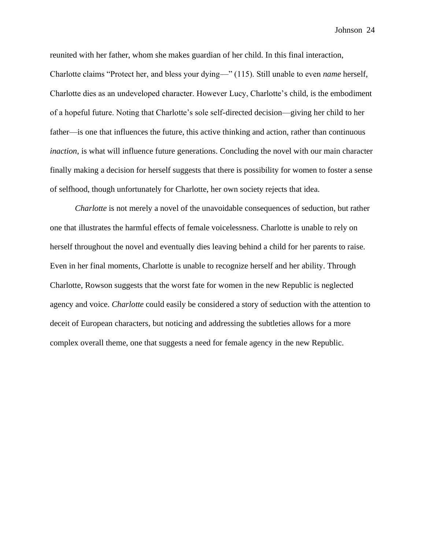reunited with her father, whom she makes guardian of her child. In this final interaction, Charlotte claims "Protect her, and bless your dying—" (115). Still unable to even *name* herself, Charlotte dies as an undeveloped character. However Lucy, Charlotte's child, is the embodiment of a hopeful future. Noting that Charlotte's sole self-directed decision—giving her child to her father—is one that influences the future, this active thinking and action, rather than continuous *inaction*, is what will influence future generations. Concluding the novel with our main character finally making a decision for herself suggests that there is possibility for women to foster a sense of selfhood, though unfortunately for Charlotte, her own society rejects that idea.

*Charlotte* is not merely a novel of the unavoidable consequences of seduction, but rather one that illustrates the harmful effects of female voicelessness. Charlotte is unable to rely on herself throughout the novel and eventually dies leaving behind a child for her parents to raise. Even in her final moments, Charlotte is unable to recognize herself and her ability. Through Charlotte, Rowson suggests that the worst fate for women in the new Republic is neglected agency and voice. *Charlotte* could easily be considered a story of seduction with the attention to deceit of European characters, but noticing and addressing the subtleties allows for a more complex overall theme, one that suggests a need for female agency in the new Republic.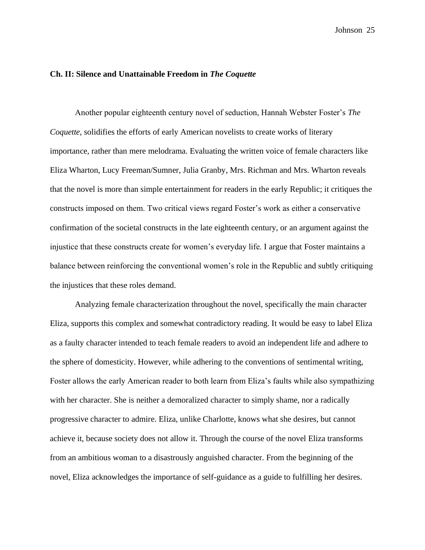#### **Ch. II: Silence and Unattainable Freedom in** *The Coquette*

Another popular eighteenth century novel of seduction, Hannah Webster Foster's *The Coquette,* solidifies the efforts of early American novelists to create works of literary importance, rather than mere melodrama. Evaluating the written voice of female characters like Eliza Wharton, Lucy Freeman/Sumner, Julia Granby, Mrs. Richman and Mrs. Wharton reveals that the novel is more than simple entertainment for readers in the early Republic; it critiques the constructs imposed on them. Two critical views regard Foster's work as either a conservative confirmation of the societal constructs in the late eighteenth century, or an argument against the injustice that these constructs create for women's everyday life. I argue that Foster maintains a balance between reinforcing the conventional women's role in the Republic and subtly critiquing the injustices that these roles demand.

Analyzing female characterization throughout the novel, specifically the main character Eliza, supports this complex and somewhat contradictory reading. It would be easy to label Eliza as a faulty character intended to teach female readers to avoid an independent life and adhere to the sphere of domesticity. However, while adhering to the conventions of sentimental writing, Foster allows the early American reader to both learn from Eliza's faults while also sympathizing with her character. She is neither a demoralized character to simply shame, nor a radically progressive character to admire. Eliza, unlike Charlotte, knows what she desires, but cannot achieve it, because society does not allow it. Through the course of the novel Eliza transforms from an ambitious woman to a disastrously anguished character. From the beginning of the novel, Eliza acknowledges the importance of self-guidance as a guide to fulfilling her desires.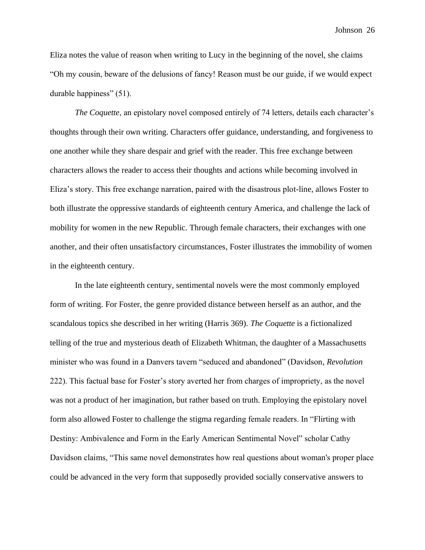Eliza notes the value of reason when writing to Lucy in the beginning of the novel, she claims "Oh my cousin, beware of the delusions of fancy! Reason must be our guide, if we would expect durable happiness" (51).

*The Coquette*, an epistolary novel composed entirely of 74 letters, details each character's thoughts through their own writing. Characters offer guidance, understanding, and forgiveness to one another while they share despair and grief with the reader. This free exchange between characters allows the reader to access their thoughts and actions while becoming involved in Eliza's story. This free exchange narration, paired with the disastrous plot-line, allows Foster to both illustrate the oppressive standards of eighteenth century America, and challenge the lack of mobility for women in the new Republic. Through female characters, their exchanges with one another, and their often unsatisfactory circumstances, Foster illustrates the immobility of women in the eighteenth century.

In the late eighteenth century, sentimental novels were the most commonly employed form of writing. For Foster, the genre provided distance between herself as an author, and the scandalous topics she described in her writing (Harris 369). *The Coquette* is a fictionalized telling of the true and mysterious death of Elizabeth Whitman, the daughter of a Massachusetts minister who was found in a Danvers tavern "seduced and abandoned" (Davidson, *Revolution* 222). This factual base for Foster's story averted her from charges of impropriety, as the novel was not a product of her imagination, but rather based on truth. Employing the epistolary novel form also allowed Foster to challenge the stigma regarding female readers. In "Flirting with Destiny: Ambivalence and Form in the Early American Sentimental Novel" scholar Cathy Davidson claims, "This same novel demonstrates how real questions about woman's proper place could be advanced in the very form that supposedly provided socially conservative answers to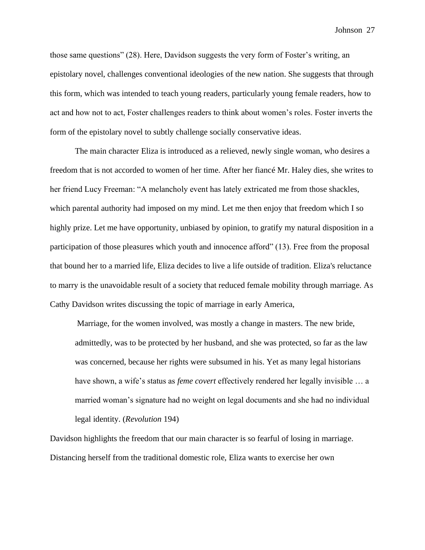those same questions" (28). Here, Davidson suggests the very form of Foster's writing, an epistolary novel, challenges conventional ideologies of the new nation. She suggests that through this form, which was intended to teach young readers, particularly young female readers, how to act and how not to act, Foster challenges readers to think about women's roles. Foster inverts the form of the epistolary novel to subtly challenge socially conservative ideas.

The main character Eliza is introduced as a relieved, newly single woman, who desires a freedom that is not accorded to women of her time. After her fiancé Mr. Haley dies, she writes to her friend Lucy Freeman: "A melancholy event has lately extricated me from those shackles, which parental authority had imposed on my mind. Let me then enjoy that freedom which I so highly prize. Let me have opportunity, unbiased by opinion, to gratify my natural disposition in a participation of those pleasures which youth and innocence afford" (13). Free from the proposal that bound her to a married life, Eliza decides to live a life outside of tradition. Eliza's reluctance to marry is the unavoidable result of a society that reduced female mobility through marriage. As Cathy Davidson writes discussing the topic of marriage in early America,

Marriage, for the women involved, was mostly a change in masters. The new bride, admittedly, was to be protected by her husband, and she was protected, so far as the law was concerned, because her rights were subsumed in his. Yet as many legal historians have shown, a wife's status as *feme covert* effectively rendered her legally invisible … a married woman's signature had no weight on legal documents and she had no individual legal identity. (*Revolution* 194)

Davidson highlights the freedom that our main character is so fearful of losing in marriage. Distancing herself from the traditional domestic role, Eliza wants to exercise her own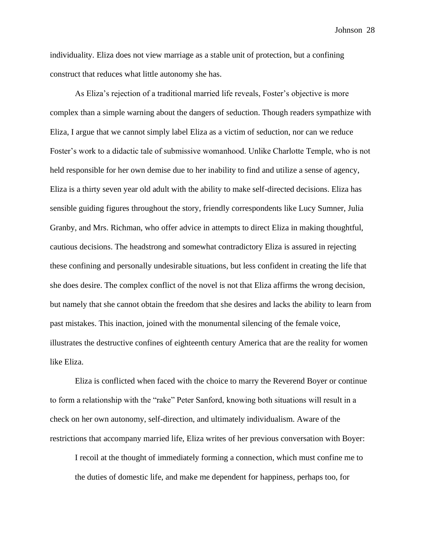individuality. Eliza does not view marriage as a stable unit of protection, but a confining construct that reduces what little autonomy she has.

As Eliza's rejection of a traditional married life reveals, Foster's objective is more complex than a simple warning about the dangers of seduction. Though readers sympathize with Eliza, I argue that we cannot simply label Eliza as a victim of seduction, nor can we reduce Foster's work to a didactic tale of submissive womanhood. Unlike Charlotte Temple, who is not held responsible for her own demise due to her inability to find and utilize a sense of agency, Eliza is a thirty seven year old adult with the ability to make self-directed decisions. Eliza has sensible guiding figures throughout the story, friendly correspondents like Lucy Sumner, Julia Granby, and Mrs. Richman, who offer advice in attempts to direct Eliza in making thoughtful, cautious decisions. The headstrong and somewhat contradictory Eliza is assured in rejecting these confining and personally undesirable situations, but less confident in creating the life that she does desire. The complex conflict of the novel is not that Eliza affirms the wrong decision, but namely that she cannot obtain the freedom that she desires and lacks the ability to learn from past mistakes. This inaction, joined with the monumental silencing of the female voice, illustrates the destructive confines of eighteenth century America that are the reality for women like Eliza.

Eliza is conflicted when faced with the choice to marry the Reverend Boyer or continue to form a relationship with the "rake" Peter Sanford, knowing both situations will result in a check on her own autonomy, self-direction, and ultimately individualism. Aware of the restrictions that accompany married life, Eliza writes of her previous conversation with Boyer:

I recoil at the thought of immediately forming a connection, which must confine me to the duties of domestic life, and make me dependent for happiness, perhaps too, for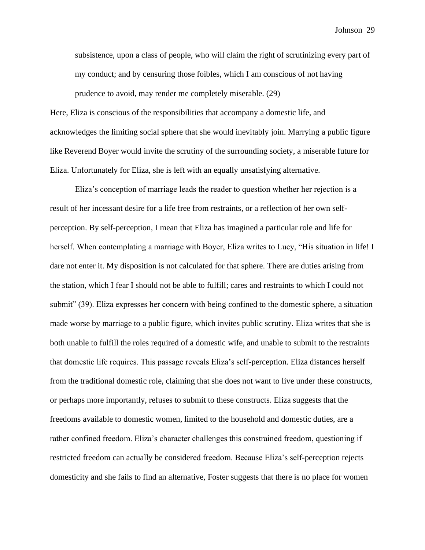subsistence, upon a class of people, who will claim the right of scrutinizing every part of my conduct; and by censuring those foibles, which I am conscious of not having prudence to avoid, may render me completely miserable. (29)

Here, Eliza is conscious of the responsibilities that accompany a domestic life, and acknowledges the limiting social sphere that she would inevitably join. Marrying a public figure like Reverend Boyer would invite the scrutiny of the surrounding society, a miserable future for Eliza. Unfortunately for Eliza, she is left with an equally unsatisfying alternative.

Eliza's conception of marriage leads the reader to question whether her rejection is a result of her incessant desire for a life free from restraints, or a reflection of her own selfperception. By self-perception, I mean that Eliza has imagined a particular role and life for herself. When contemplating a marriage with Boyer, Eliza writes to Lucy, "His situation in life! I dare not enter it. My disposition is not calculated for that sphere. There are duties arising from the station, which I fear I should not be able to fulfill; cares and restraints to which I could not submit" (39). Eliza expresses her concern with being confined to the domestic sphere, a situation made worse by marriage to a public figure, which invites public scrutiny. Eliza writes that she is both unable to fulfill the roles required of a domestic wife, and unable to submit to the restraints that domestic life requires. This passage reveals Eliza's self-perception. Eliza distances herself from the traditional domestic role, claiming that she does not want to live under these constructs, or perhaps more importantly, refuses to submit to these constructs. Eliza suggests that the freedoms available to domestic women, limited to the household and domestic duties, are a rather confined freedom. Eliza's character challenges this constrained freedom, questioning if restricted freedom can actually be considered freedom. Because Eliza's self-perception rejects domesticity and she fails to find an alternative, Foster suggests that there is no place for women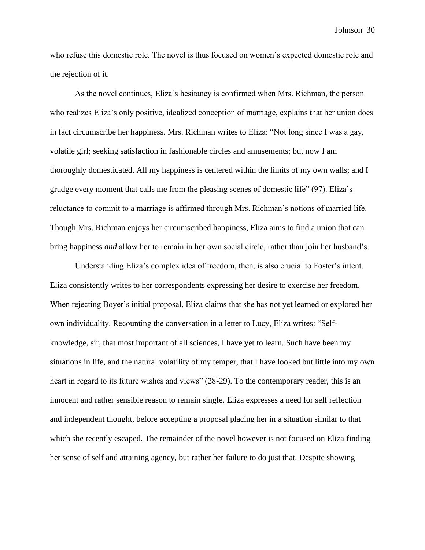who refuse this domestic role. The novel is thus focused on women's expected domestic role and the rejection of it.

As the novel continues, Eliza's hesitancy is confirmed when Mrs. Richman, the person who realizes Eliza's only positive, idealized conception of marriage, explains that her union does in fact circumscribe her happiness. Mrs. Richman writes to Eliza: "Not long since I was a gay, volatile girl; seeking satisfaction in fashionable circles and amusements; but now I am thoroughly domesticated. All my happiness is centered within the limits of my own walls; and I grudge every moment that calls me from the pleasing scenes of domestic life" (97). Eliza's reluctance to commit to a marriage is affirmed through Mrs. Richman's notions of married life. Though Mrs. Richman enjoys her circumscribed happiness, Eliza aims to find a union that can bring happiness *and* allow her to remain in her own social circle, rather than join her husband's.

Understanding Eliza's complex idea of freedom, then, is also crucial to Foster's intent. Eliza consistently writes to her correspondents expressing her desire to exercise her freedom. When rejecting Boyer's initial proposal, Eliza claims that she has not yet learned or explored her own individuality. Recounting the conversation in a letter to Lucy, Eliza writes: "Selfknowledge, sir, that most important of all sciences, I have yet to learn. Such have been my situations in life, and the natural volatility of my temper, that I have looked but little into my own heart in regard to its future wishes and views" (28-29). To the contemporary reader, this is an innocent and rather sensible reason to remain single. Eliza expresses a need for self reflection and independent thought, before accepting a proposal placing her in a situation similar to that which she recently escaped. The remainder of the novel however is not focused on Eliza finding her sense of self and attaining agency, but rather her failure to do just that. Despite showing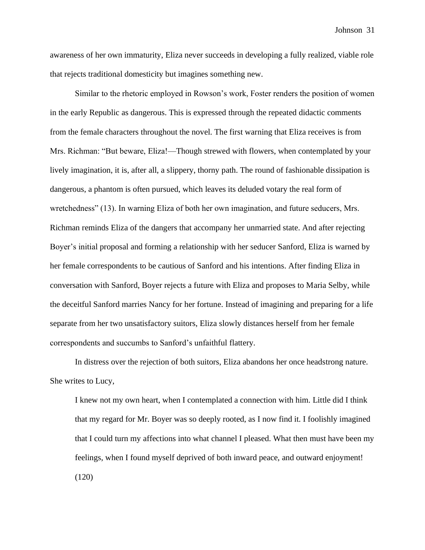awareness of her own immaturity, Eliza never succeeds in developing a fully realized, viable role that rejects traditional domesticity but imagines something new.

Similar to the rhetoric employed in Rowson's work, Foster renders the position of women in the early Republic as dangerous. This is expressed through the repeated didactic comments from the female characters throughout the novel. The first warning that Eliza receives is from Mrs. Richman: "But beware, Eliza!—Though strewed with flowers, when contemplated by your lively imagination, it is, after all, a slippery, thorny path. The round of fashionable dissipation is dangerous, a phantom is often pursued, which leaves its deluded votary the real form of wretchedness" (13). In warning Eliza of both her own imagination, and future seducers, Mrs. Richman reminds Eliza of the dangers that accompany her unmarried state. And after rejecting Boyer's initial proposal and forming a relationship with her seducer Sanford, Eliza is warned by her female correspondents to be cautious of Sanford and his intentions. After finding Eliza in conversation with Sanford, Boyer rejects a future with Eliza and proposes to Maria Selby, while the deceitful Sanford marries Nancy for her fortune. Instead of imagining and preparing for a life separate from her two unsatisfactory suitors, Eliza slowly distances herself from her female correspondents and succumbs to Sanford's unfaithful flattery.

In distress over the rejection of both suitors, Eliza abandons her once headstrong nature. She writes to Lucy,

I knew not my own heart, when I contemplated a connection with him. Little did I think that my regard for Mr. Boyer was so deeply rooted, as I now find it. I foolishly imagined that I could turn my affections into what channel I pleased. What then must have been my feelings, when I found myself deprived of both inward peace, and outward enjoyment! (120)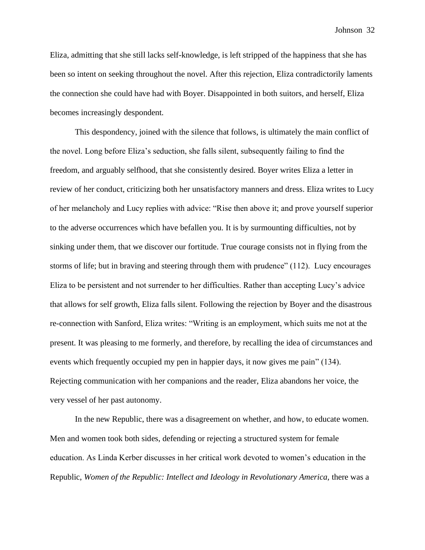Eliza, admitting that she still lacks self-knowledge, is left stripped of the happiness that she has been so intent on seeking throughout the novel. After this rejection, Eliza contradictorily laments the connection she could have had with Boyer. Disappointed in both suitors, and herself, Eliza becomes increasingly despondent.

This despondency, joined with the silence that follows, is ultimately the main conflict of the novel. Long before Eliza's seduction, she falls silent, subsequently failing to find the freedom, and arguably selfhood, that she consistently desired. Boyer writes Eliza a letter in review of her conduct, criticizing both her unsatisfactory manners and dress. Eliza writes to Lucy of her melancholy and Lucy replies with advice: "Rise then above it; and prove yourself superior to the adverse occurrences which have befallen you. It is by surmounting difficulties, not by sinking under them, that we discover our fortitude. True courage consists not in flying from the storms of life; but in braving and steering through them with prudence" (112). Lucy encourages Eliza to be persistent and not surrender to her difficulties. Rather than accepting Lucy's advice that allows for self growth, Eliza falls silent. Following the rejection by Boyer and the disastrous re-connection with Sanford, Eliza writes: "Writing is an employment, which suits me not at the present. It was pleasing to me formerly, and therefore, by recalling the idea of circumstances and events which frequently occupied my pen in happier days, it now gives me pain" (134). Rejecting communication with her companions and the reader, Eliza abandons her voice, the very vessel of her past autonomy.

In the new Republic, there was a disagreement on whether, and how, to educate women. Men and women took both sides, defending or rejecting a structured system for female education. As Linda Kerber discusses in her critical work devoted to women's education in the Republic, *Women of the Republic: Intellect and Ideology in Revolutionary America,* there was a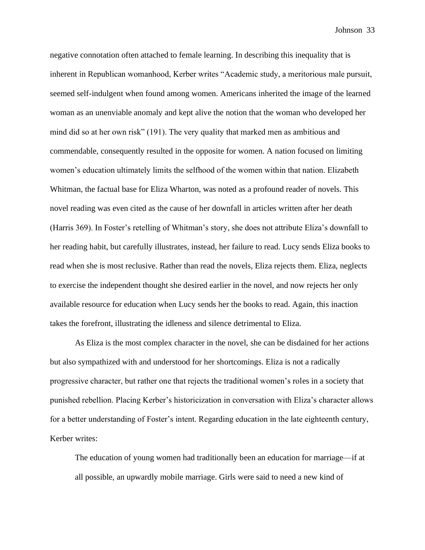negative connotation often attached to female learning. In describing this inequality that is inherent in Republican womanhood, Kerber writes "Academic study, a meritorious male pursuit, seemed self-indulgent when found among women. Americans inherited the image of the learned woman as an unenviable anomaly and kept alive the notion that the woman who developed her mind did so at her own risk" (191). The very quality that marked men as ambitious and commendable, consequently resulted in the opposite for women. A nation focused on limiting women's education ultimately limits the selfhood of the women within that nation. Elizabeth Whitman, the factual base for Eliza Wharton, was noted as a profound reader of novels. This novel reading was even cited as the cause of her downfall in articles written after her death (Harris 369). In Foster's retelling of Whitman's story, she does not attribute Eliza's downfall to her reading habit, but carefully illustrates, instead, her failure to read. Lucy sends Eliza books to read when she is most reclusive. Rather than read the novels, Eliza rejects them. Eliza, neglects to exercise the independent thought she desired earlier in the novel, and now rejects her only available resource for education when Lucy sends her the books to read. Again, this inaction takes the forefront, illustrating the idleness and silence detrimental to Eliza.

As Eliza is the most complex character in the novel, she can be disdained for her actions but also sympathized with and understood for her shortcomings. Eliza is not a radically progressive character, but rather one that rejects the traditional women's roles in a society that punished rebellion. Placing Kerber's historicization in conversation with Eliza's character allows for a better understanding of Foster's intent. Regarding education in the late eighteenth century, Kerber writes:

The education of young women had traditionally been an education for marriage—if at all possible, an upwardly mobile marriage. Girls were said to need a new kind of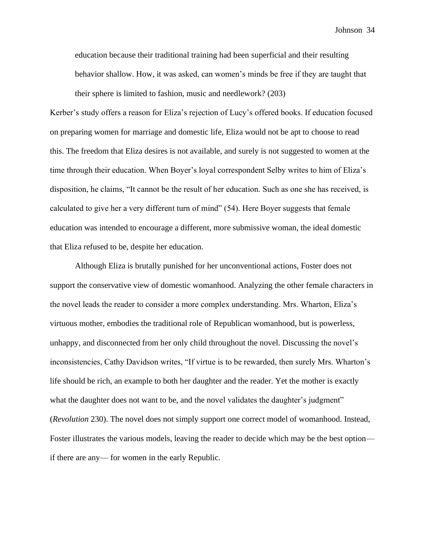education because their traditional training had been superficial and their resulting behavior shallow. How, it was asked, can women's minds be free if they are taught that their sphere is limited to fashion, music and needlework? (203)

Kerber's study offers a reason for Eliza's rejection of Lucy's offered books. If education focused on preparing women for marriage and domestic life, Eliza would not be apt to choose to read this. The freedom that Eliza desires is not available, and surely is not suggested to women at the time through their education. When Boyer's loyal correspondent Selby writes to him of Eliza's disposition, he claims, "It cannot be the result of her education. Such as one she has received, is calculated to give her a very different turn of mind" (54). Here Boyer suggests that female education was intended to encourage a different, more submissive woman, the ideal domestic that Eliza refused to be, despite her education.

Although Eliza is brutally punished for her unconventional actions, Foster does not support the conservative view of domestic womanhood. Analyzing the other female characters in the novel leads the reader to consider a more complex understanding. Mrs. Wharton, Eliza's virtuous mother, embodies the traditional role of Republican womanhood, but is powerless, unhappy, and disconnected from her only child throughout the novel. Discussing the novel's inconsistencies, Cathy Davidson writes, "If virtue is to be rewarded, then surely Mrs. Wharton's life should be rich, an example to both her daughter and the reader. Yet the mother is exactly what the daughter does not want to be, and the novel validates the daughter's judgment'' (*Revolution* 230). The novel does not simply support one correct model of womanhood. Instead, Foster illustrates the various models, leaving the reader to decide which may be the best option if there are any— for women in the early Republic.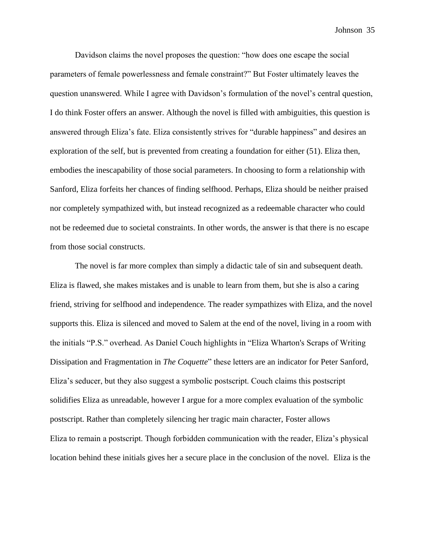Davidson claims the novel proposes the question: "how does one escape the social parameters of female powerlessness and female constraint?" But Foster ultimately leaves the question unanswered. While I agree with Davidson's formulation of the novel's central question, I do think Foster offers an answer. Although the novel is filled with ambiguities, this question is answered through Eliza's fate. Eliza consistently strives for "durable happiness" and desires an exploration of the self, but is prevented from creating a foundation for either (51). Eliza then, embodies the inescapability of those social parameters. In choosing to form a relationship with Sanford, Eliza forfeits her chances of finding selfhood. Perhaps, Eliza should be neither praised nor completely sympathized with, but instead recognized as a redeemable character who could not be redeemed due to societal constraints. In other words, the answer is that there is no escape from those social constructs.

The novel is far more complex than simply a didactic tale of sin and subsequent death. Eliza is flawed, she makes mistakes and is unable to learn from them, but she is also a caring friend, striving for selfhood and independence. The reader sympathizes with Eliza, and the novel supports this. Eliza is silenced and moved to Salem at the end of the novel, living in a room with the initials "P.S." overhead. As Daniel Couch highlights in "Eliza Wharton's Scraps of Writing Dissipation and Fragmentation in *The Coquette*" these letters are an indicator for Peter Sanford, Eliza's seducer, but they also suggest a symbolic postscript. Couch claims this postscript solidifies Eliza as unreadable, however I argue for a more complex evaluation of the symbolic postscript. Rather than completely silencing her tragic main character, Foster allows Eliza to remain a postscript. Though forbidden communication with the reader, Eliza's physical location behind these initials gives her a secure place in the conclusion of the novel. Eliza is the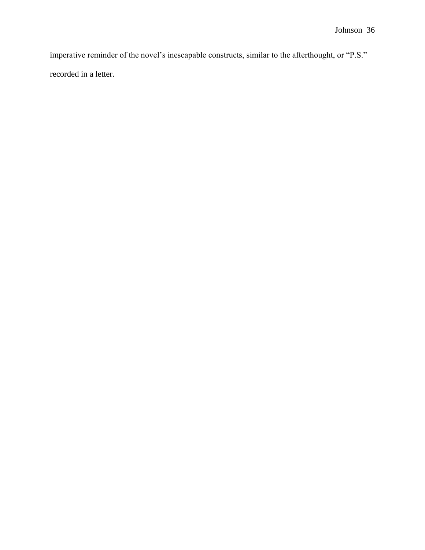imperative reminder of the novel's inescapable constructs, similar to the afterthought, or "P.S." recorded in a letter.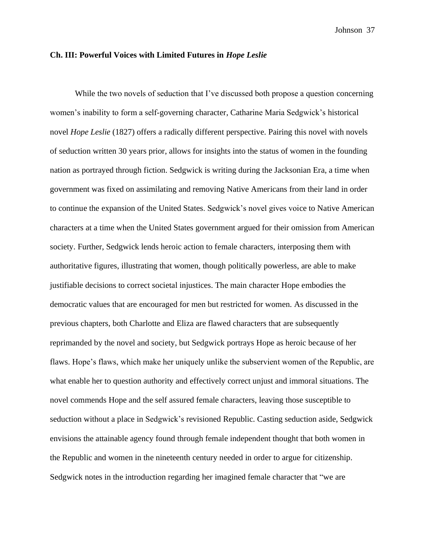### **Ch. III: Powerful Voices with Limited Futures in** *Hope Leslie*

While the two novels of seduction that I've discussed both propose a question concerning women's inability to form a self-governing character, Catharine Maria Sedgwick's historical novel *Hope Leslie* (1827) offers a radically different perspective. Pairing this novel with novels of seduction written 30 years prior, allows for insights into the status of women in the founding nation as portrayed through fiction. Sedgwick is writing during the Jacksonian Era, a time when government was fixed on assimilating and removing Native Americans from their land in order to continue the expansion of the United States. Sedgwick's novel gives voice to Native American characters at a time when the United States government argued for their omission from American society. Further, Sedgwick lends heroic action to female characters, interposing them with authoritative figures, illustrating that women, though politically powerless, are able to make justifiable decisions to correct societal injustices. The main character Hope embodies the democratic values that are encouraged for men but restricted for women. As discussed in the previous chapters, both Charlotte and Eliza are flawed characters that are subsequently reprimanded by the novel and society, but Sedgwick portrays Hope as heroic because of her flaws. Hope's flaws, which make her uniquely unlike the subservient women of the Republic, are what enable her to question authority and effectively correct unjust and immoral situations. The novel commends Hope and the self assured female characters, leaving those susceptible to seduction without a place in Sedgwick's revisioned Republic. Casting seduction aside, Sedgwick envisions the attainable agency found through female independent thought that both women in the Republic and women in the nineteenth century needed in order to argue for citizenship. Sedgwick notes in the introduction regarding her imagined female character that "we are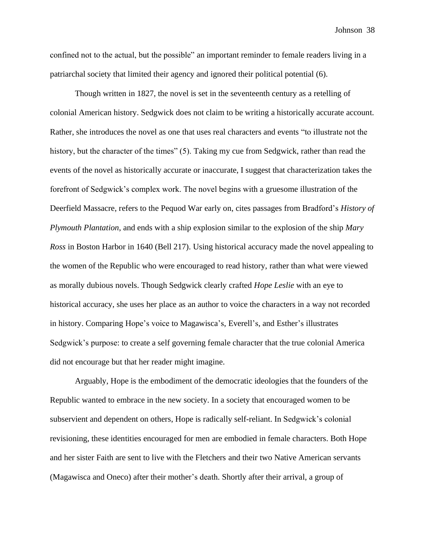confined not to the actual, but the possible" an important reminder to female readers living in a patriarchal society that limited their agency and ignored their political potential (6).

Though written in 1827, the novel is set in the seventeenth century as a retelling of colonial American history. Sedgwick does not claim to be writing a historically accurate account. Rather, she introduces the novel as one that uses real characters and events "to illustrate not the history, but the character of the times" (5). Taking my cue from Sedgwick, rather than read the events of the novel as historically accurate or inaccurate, I suggest that characterization takes the forefront of Sedgwick's complex work. The novel begins with a gruesome illustration of the Deerfield Massacre, refers to the Pequod War early on, cites passages from Bradford's *History of Plymouth Plantation*, and ends with a ship explosion similar to the explosion of the ship *Mary Ross* in Boston Harbor in 1640 (Bell 217). Using historical accuracy made the novel appealing to the women of the Republic who were encouraged to read history, rather than what were viewed as morally dubious novels. Though Sedgwick clearly crafted *Hope Leslie* with an eye to historical accuracy, she uses her place as an author to voice the characters in a way not recorded in history. Comparing Hope's voice to Magawisca's, Everell's, and Esther's illustrates Sedgwick's purpose: to create a self governing female character that the true colonial America did not encourage but that her reader might imagine.

Arguably, Hope is the embodiment of the democratic ideologies that the founders of the Republic wanted to embrace in the new society. In a society that encouraged women to be subservient and dependent on others, Hope is radically self-reliant. In Sedgwick's colonial revisioning, these identities encouraged for men are embodied in female characters. Both Hope and her sister Faith are sent to live with the Fletchers and their two Native American servants (Magawisca and Oneco) after their mother's death. Shortly after their arrival, a group of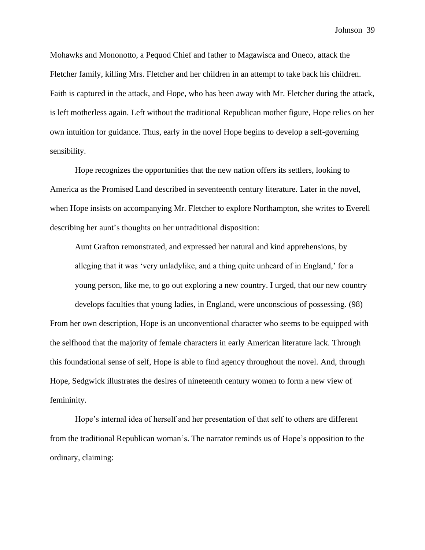Mohawks and Mononotto, a Pequod Chief and father to Magawisca and Oneco, attack the Fletcher family, killing Mrs. Fletcher and her children in an attempt to take back his children. Faith is captured in the attack, and Hope, who has been away with Mr. Fletcher during the attack, is left motherless again. Left without the traditional Republican mother figure, Hope relies on her own intuition for guidance. Thus, early in the novel Hope begins to develop a self-governing sensibility.

Hope recognizes the opportunities that the new nation offers its settlers, looking to America as the Promised Land described in seventeenth century literature. Later in the novel, when Hope insists on accompanying Mr. Fletcher to explore Northampton, she writes to Everell describing her aunt's thoughts on her untraditional disposition:

Aunt Grafton remonstrated, and expressed her natural and kind apprehensions, by alleging that it was 'very unladylike, and a thing quite unheard of in England,' for a young person, like me, to go out exploring a new country. I urged, that our new country develops faculties that young ladies, in England, were unconscious of possessing. (98) From her own description, Hope is an unconventional character who seems to be equipped with the selfhood that the majority of female characters in early American literature lack. Through this foundational sense of self, Hope is able to find agency throughout the novel. And, through Hope, Sedgwick illustrates the desires of nineteenth century women to form a new view of femininity.

Hope's internal idea of herself and her presentation of that self to others are different from the traditional Republican woman's. The narrator reminds us of Hope's opposition to the ordinary, claiming: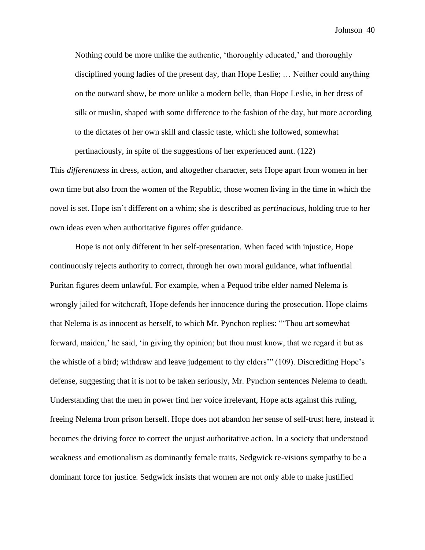Nothing could be more unlike the authentic, 'thoroughly educated,' and thoroughly disciplined young ladies of the present day, than Hope Leslie; … Neither could anything on the outward show, be more unlike a modern belle, than Hope Leslie, in her dress of silk or muslin, shaped with some difference to the fashion of the day, but more according to the dictates of her own skill and classic taste, which she followed, somewhat pertinaciously, in spite of the suggestions of her experienced aunt. (122)

This *differentness* in dress, action, and altogether character, sets Hope apart from women in her own time but also from the women of the Republic, those women living in the time in which the novel is set. Hope isn't different on a whim; she is described as *pertinacious*, holding true to her own ideas even when authoritative figures offer guidance.

Hope is not only different in her self-presentation. When faced with injustice, Hope continuously rejects authority to correct, through her own moral guidance, what influential Puritan figures deem unlawful. For example, when a Pequod tribe elder named Nelema is wrongly jailed for witchcraft, Hope defends her innocence during the prosecution. Hope claims that Nelema is as innocent as herself, to which Mr. Pynchon replies: "'Thou art somewhat forward, maiden,' he said, 'in giving thy opinion; but thou must know, that we regard it but as the whistle of a bird; withdraw and leave judgement to thy elders'" (109). Discrediting Hope's defense, suggesting that it is not to be taken seriously, Mr. Pynchon sentences Nelema to death. Understanding that the men in power find her voice irrelevant, Hope acts against this ruling, freeing Nelema from prison herself. Hope does not abandon her sense of self-trust here, instead it becomes the driving force to correct the unjust authoritative action. In a society that understood weakness and emotionalism as dominantly female traits, Sedgwick re-visions sympathy to be a dominant force for justice. Sedgwick insists that women are not only able to make justified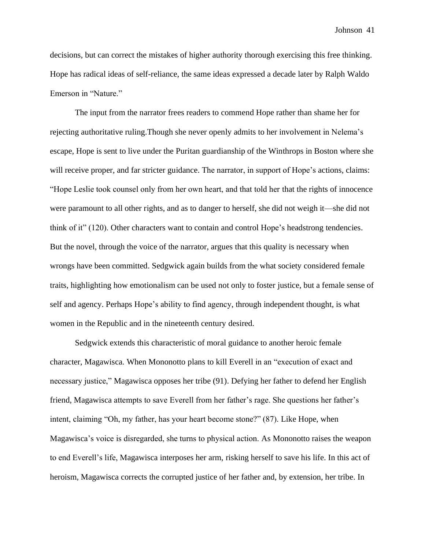decisions, but can correct the mistakes of higher authority thorough exercising this free thinking. Hope has radical ideas of self-reliance, the same ideas expressed a decade later by Ralph Waldo Emerson in "Nature."

The input from the narrator frees readers to commend Hope rather than shame her for rejecting authoritative ruling.Though she never openly admits to her involvement in Nelema's escape, Hope is sent to live under the Puritan guardianship of the Winthrops in Boston where she will receive proper, and far stricter guidance. The narrator, in support of Hope's actions, claims: "Hope Leslie took counsel only from her own heart, and that told her that the rights of innocence were paramount to all other rights, and as to danger to herself, she did not weigh it—she did not think of it" (120). Other characters want to contain and control Hope's headstrong tendencies. But the novel, through the voice of the narrator, argues that this quality is necessary when wrongs have been committed. Sedgwick again builds from the what society considered female traits, highlighting how emotionalism can be used not only to foster justice, but a female sense of self and agency. Perhaps Hope's ability to find agency, through independent thought, is what women in the Republic and in the nineteenth century desired.

Sedgwick extends this characteristic of moral guidance to another heroic female character, Magawisca. When Mononotto plans to kill Everell in an "execution of exact and necessary justice," Magawisca opposes her tribe (91). Defying her father to defend her English friend, Magawisca attempts to save Everell from her father's rage. She questions her father's intent, claiming "Oh, my father, has your heart become stone?" (87). Like Hope, when Magawisca's voice is disregarded, she turns to physical action. As Mononotto raises the weapon to end Everell's life, Magawisca interposes her arm, risking herself to save his life. In this act of heroism, Magawisca corrects the corrupted justice of her father and, by extension, her tribe. In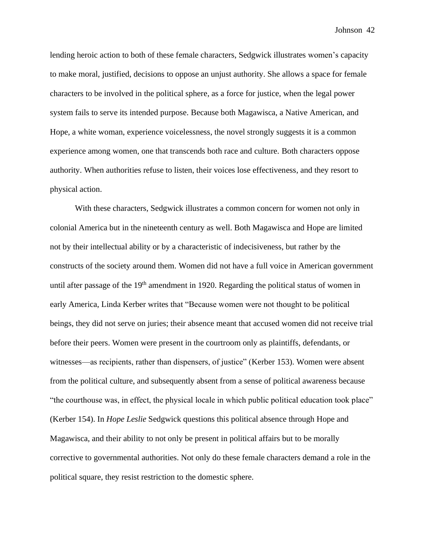lending heroic action to both of these female characters, Sedgwick illustrates women's capacity to make moral, justified, decisions to oppose an unjust authority. She allows a space for female characters to be involved in the political sphere, as a force for justice, when the legal power system fails to serve its intended purpose. Because both Magawisca, a Native American, and Hope, a white woman, experience voicelessness, the novel strongly suggests it is a common experience among women, one that transcends both race and culture. Both characters oppose authority. When authorities refuse to listen, their voices lose effectiveness, and they resort to physical action.

With these characters, Sedgwick illustrates a common concern for women not only in colonial America but in the nineteenth century as well. Both Magawisca and Hope are limited not by their intellectual ability or by a characteristic of indecisiveness, but rather by the constructs of the society around them. Women did not have a full voice in American government until after passage of the 19<sup>th</sup> amendment in 1920. Regarding the political status of women in early America, Linda Kerber writes that "Because women were not thought to be political beings, they did not serve on juries; their absence meant that accused women did not receive trial before their peers. Women were present in the courtroom only as plaintiffs, defendants, or witnesses—as recipients, rather than dispensers, of justice" (Kerber 153). Women were absent from the political culture, and subsequently absent from a sense of political awareness because "the courthouse was, in effect, the physical locale in which public political education took place" (Kerber 154). In *Hope Leslie* Sedgwick questions this political absence through Hope and Magawisca, and their ability to not only be present in political affairs but to be morally corrective to governmental authorities. Not only do these female characters demand a role in the political square, they resist restriction to the domestic sphere.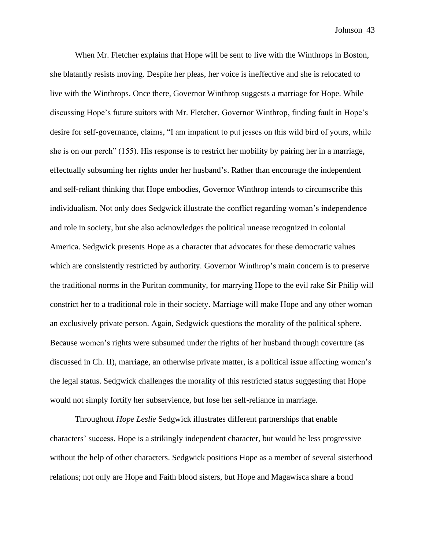When Mr. Fletcher explains that Hope will be sent to live with the Winthrops in Boston, she blatantly resists moving. Despite her pleas, her voice is ineffective and she is relocated to live with the Winthrops. Once there, Governor Winthrop suggests a marriage for Hope. While discussing Hope's future suitors with Mr. Fletcher, Governor Winthrop, finding fault in Hope's desire for self-governance, claims, "I am impatient to put jesses on this wild bird of yours, while she is on our perch" (155). His response is to restrict her mobility by pairing her in a marriage, effectually subsuming her rights under her husband's. Rather than encourage the independent and self-reliant thinking that Hope embodies, Governor Winthrop intends to circumscribe this individualism. Not only does Sedgwick illustrate the conflict regarding woman's independence and role in society, but she also acknowledges the political unease recognized in colonial America. Sedgwick presents Hope as a character that advocates for these democratic values which are consistently restricted by authority. Governor Winthrop's main concern is to preserve the traditional norms in the Puritan community, for marrying Hope to the evil rake Sir Philip will constrict her to a traditional role in their society. Marriage will make Hope and any other woman an exclusively private person. Again, Sedgwick questions the morality of the political sphere. Because women's rights were subsumed under the rights of her husband through coverture (as discussed in Ch. II), marriage, an otherwise private matter, is a political issue affecting women's the legal status. Sedgwick challenges the morality of this restricted status suggesting that Hope would not simply fortify her subservience, but lose her self-reliance in marriage.

Throughout *Hope Leslie* Sedgwick illustrates different partnerships that enable characters' success. Hope is a strikingly independent character, but would be less progressive without the help of other characters. Sedgwick positions Hope as a member of several sisterhood relations; not only are Hope and Faith blood sisters, but Hope and Magawisca share a bond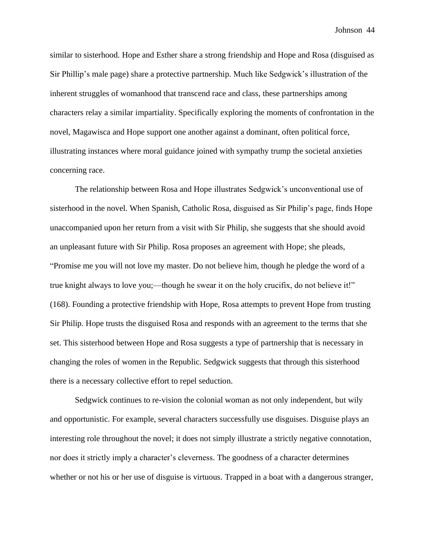similar to sisterhood. Hope and Esther share a strong friendship and Hope and Rosa (disguised as Sir Phillip's male page) share a protective partnership. Much like Sedgwick's illustration of the inherent struggles of womanhood that transcend race and class, these partnerships among characters relay a similar impartiality. Specifically exploring the moments of confrontation in the novel, Magawisca and Hope support one another against a dominant, often political force, illustrating instances where moral guidance joined with sympathy trump the societal anxieties concerning race.

The relationship between Rosa and Hope illustrates Sedgwick's unconventional use of sisterhood in the novel. When Spanish, Catholic Rosa, disguised as Sir Philip's page, finds Hope unaccompanied upon her return from a visit with Sir Philip, she suggests that she should avoid an unpleasant future with Sir Philip. Rosa proposes an agreement with Hope; she pleads, "Promise me you will not love my master. Do not believe him, though he pledge the word of a true knight always to love you;—though he swear it on the holy crucifix, do not believe it!" (168). Founding a protective friendship with Hope, Rosa attempts to prevent Hope from trusting Sir Philip. Hope trusts the disguised Rosa and responds with an agreement to the terms that she set. This sisterhood between Hope and Rosa suggests a type of partnership that is necessary in changing the roles of women in the Republic. Sedgwick suggests that through this sisterhood there is a necessary collective effort to repel seduction.

Sedgwick continues to re-vision the colonial woman as not only independent, but wily and opportunistic. For example, several characters successfully use disguises. Disguise plays an interesting role throughout the novel; it does not simply illustrate a strictly negative connotation, nor does it strictly imply a character's cleverness. The goodness of a character determines whether or not his or her use of disguise is virtuous. Trapped in a boat with a dangerous stranger,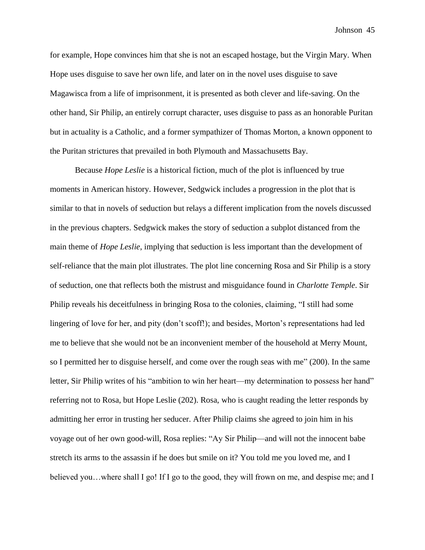for example, Hope convinces him that she is not an escaped hostage, but the Virgin Mary. When Hope uses disguise to save her own life, and later on in the novel uses disguise to save Magawisca from a life of imprisonment, it is presented as both clever and life-saving. On the other hand, Sir Philip, an entirely corrupt character, uses disguise to pass as an honorable Puritan but in actuality is a Catholic, and a former sympathizer of Thomas Morton, a known opponent to the Puritan strictures that prevailed in both Plymouth and Massachusetts Bay.

Because *Hope Leslie* is a historical fiction, much of the plot is influenced by true moments in American history. However, Sedgwick includes a progression in the plot that is similar to that in novels of seduction but relays a different implication from the novels discussed in the previous chapters. Sedgwick makes the story of seduction a subplot distanced from the main theme of *Hope Leslie*, implying that seduction is less important than the development of self-reliance that the main plot illustrates. The plot line concerning Rosa and Sir Philip is a story of seduction, one that reflects both the mistrust and misguidance found in *Charlotte Temple*. Sir Philip reveals his deceitfulness in bringing Rosa to the colonies, claiming, "I still had some lingering of love for her, and pity (don't scoff!); and besides, Morton's representations had led me to believe that she would not be an inconvenient member of the household at Merry Mount, so I permitted her to disguise herself, and come over the rough seas with me" (200). In the same letter, Sir Philip writes of his "ambition to win her heart—my determination to possess her hand" referring not to Rosa, but Hope Leslie (202). Rosa, who is caught reading the letter responds by admitting her error in trusting her seducer. After Philip claims she agreed to join him in his voyage out of her own good-will, Rosa replies: "Ay Sir Philip—and will not the innocent babe stretch its arms to the assassin if he does but smile on it? You told me you loved me, and I believed you…where shall I go! If I go to the good, they will frown on me, and despise me; and I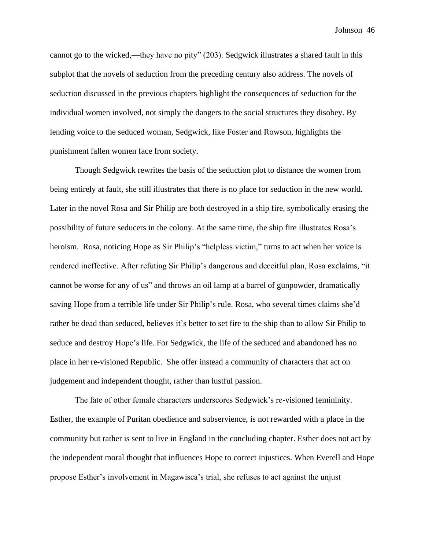cannot go to the wicked,—they have no pity" (203). Sedgwick illustrates a shared fault in this subplot that the novels of seduction from the preceding century also address. The novels of seduction discussed in the previous chapters highlight the consequences of seduction for the individual women involved, not simply the dangers to the social structures they disobey. By lending voice to the seduced woman, Sedgwick, like Foster and Rowson, highlights the punishment fallen women face from society.

Though Sedgwick rewrites the basis of the seduction plot to distance the women from being entirely at fault, she still illustrates that there is no place for seduction in the new world. Later in the novel Rosa and Sir Philip are both destroyed in a ship fire, symbolically erasing the possibility of future seducers in the colony. At the same time, the ship fire illustrates Rosa's heroism. Rosa, noticing Hope as Sir Philip's "helpless victim," turns to act when her voice is rendered ineffective. After refuting Sir Philip's dangerous and deceitful plan, Rosa exclaims, "it cannot be worse for any of us" and throws an oil lamp at a barrel of gunpowder, dramatically saving Hope from a terrible life under Sir Philip's rule. Rosa, who several times claims she'd rather be dead than seduced, believes it's better to set fire to the ship than to allow Sir Philip to seduce and destroy Hope's life. For Sedgwick, the life of the seduced and abandoned has no place in her re-visioned Republic. She offer instead a community of characters that act on judgement and independent thought, rather than lustful passion.

The fate of other female characters underscores Sedgwick's re-visioned femininity. Esther, the example of Puritan obedience and subservience, is not rewarded with a place in the community but rather is sent to live in England in the concluding chapter. Esther does not act by the independent moral thought that influences Hope to correct injustices. When Everell and Hope propose Esther's involvement in Magawisca's trial, she refuses to act against the unjust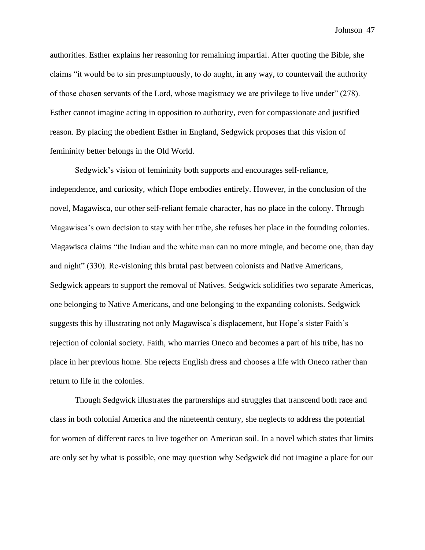authorities. Esther explains her reasoning for remaining impartial. After quoting the Bible, she claims "it would be to sin presumptuously, to do aught, in any way, to countervail the authority of those chosen servants of the Lord, whose magistracy we are privilege to live under" (278). Esther cannot imagine acting in opposition to authority, even for compassionate and justified reason. By placing the obedient Esther in England, Sedgwick proposes that this vision of femininity better belongs in the Old World.

Sedgwick's vision of femininity both supports and encourages self-reliance, independence, and curiosity, which Hope embodies entirely. However, in the conclusion of the novel, Magawisca, our other self-reliant female character, has no place in the colony. Through Magawisca's own decision to stay with her tribe, she refuses her place in the founding colonies. Magawisca claims "the Indian and the white man can no more mingle, and become one, than day and night" (330). Re-visioning this brutal past between colonists and Native Americans, Sedgwick appears to support the removal of Natives. Sedgwick solidifies two separate Americas, one belonging to Native Americans, and one belonging to the expanding colonists. Sedgwick suggests this by illustrating not only Magawisca's displacement, but Hope's sister Faith's rejection of colonial society. Faith, who marries Oneco and becomes a part of his tribe, has no place in her previous home. She rejects English dress and chooses a life with Oneco rather than return to life in the colonies.

Though Sedgwick illustrates the partnerships and struggles that transcend both race and class in both colonial America and the nineteenth century, she neglects to address the potential for women of different races to live together on American soil. In a novel which states that limits are only set by what is possible, one may question why Sedgwick did not imagine a place for our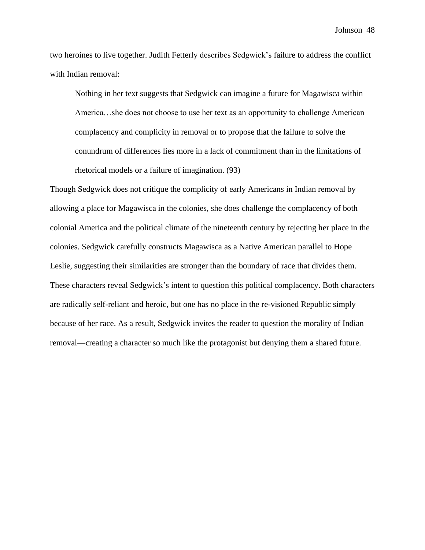two heroines to live together. Judith Fetterly describes Sedgwick's failure to address the conflict with Indian removal:

Nothing in her text suggests that Sedgwick can imagine a future for Magawisca within America…she does not choose to use her text as an opportunity to challenge American complacency and complicity in removal or to propose that the failure to solve the conundrum of differences lies more in a lack of commitment than in the limitations of rhetorical models or a failure of imagination. (93)

Though Sedgwick does not critique the complicity of early Americans in Indian removal by allowing a place for Magawisca in the colonies, she does challenge the complacency of both colonial America and the political climate of the nineteenth century by rejecting her place in the colonies. Sedgwick carefully constructs Magawisca as a Native American parallel to Hope Leslie, suggesting their similarities are stronger than the boundary of race that divides them. These characters reveal Sedgwick's intent to question this political complacency. Both characters are radically self-reliant and heroic, but one has no place in the re-visioned Republic simply because of her race. As a result, Sedgwick invites the reader to question the morality of Indian removal—creating a character so much like the protagonist but denying them a shared future.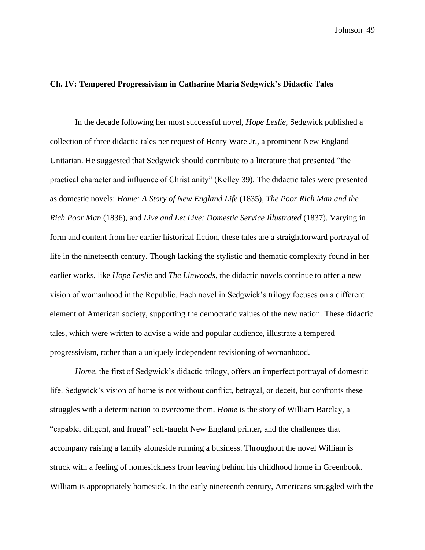## **Ch. IV: Tempered Progressivism in Catharine Maria Sedgwick's Didactic Tales**

In the decade following her most successful novel, *Hope Leslie,* Sedgwick published a collection of three didactic tales per request of Henry Ware Jr., a prominent New England Unitarian. He suggested that Sedgwick should contribute to a literature that presented "the practical character and influence of Christianity" (Kelley 39). The didactic tales were presented as domestic novels: *Home: A Story of New England Life* (1835), *The Poor Rich Man and the Rich Poor Man* (1836), and *Live and Let Live: Domestic Service Illustrated* (1837). Varying in form and content from her earlier historical fiction, these tales are a straightforward portrayal of life in the nineteenth century. Though lacking the stylistic and thematic complexity found in her earlier works, like *Hope Leslie* and *The Linwoods*, the didactic novels continue to offer a new vision of womanhood in the Republic. Each novel in Sedgwick's trilogy focuses on a different element of American society, supporting the democratic values of the new nation. These didactic tales, which were written to advise a wide and popular audience, illustrate a tempered progressivism, rather than a uniquely independent revisioning of womanhood.

*Home,* the first of Sedgwick's didactic trilogy, offers an imperfect portrayal of domestic life. Sedgwick's vision of home is not without conflict, betrayal, or deceit, but confronts these struggles with a determination to overcome them. *Home* is the story of William Barclay, a "capable, diligent, and frugal" self-taught New England printer, and the challenges that accompany raising a family alongside running a business. Throughout the novel William is struck with a feeling of homesickness from leaving behind his childhood home in Greenbook. William is appropriately homesick. In the early nineteenth century, Americans struggled with the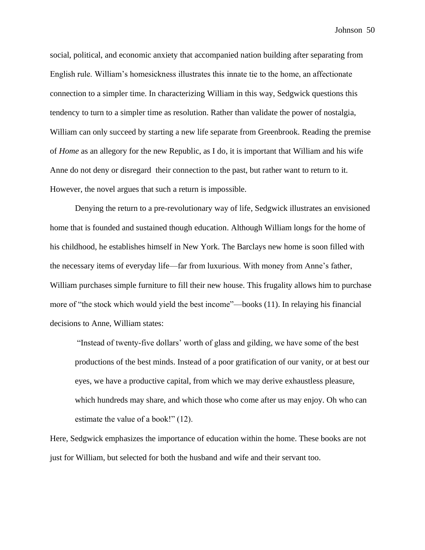social, political, and economic anxiety that accompanied nation building after separating from English rule. William's homesickness illustrates this innate tie to the home, an affectionate connection to a simpler time. In characterizing William in this way, Sedgwick questions this tendency to turn to a simpler time as resolution. Rather than validate the power of nostalgia, William can only succeed by starting a new life separate from Greenbrook. Reading the premise of *Home* as an allegory for the new Republic, as I do, it is important that William and his wife Anne do not deny or disregard their connection to the past, but rather want to return to it. However, the novel argues that such a return is impossible.

Denying the return to a pre-revolutionary way of life, Sedgwick illustrates an envisioned home that is founded and sustained though education. Although William longs for the home of his childhood, he establishes himself in New York. The Barclays new home is soon filled with the necessary items of everyday life—far from luxurious. With money from Anne's father, William purchases simple furniture to fill their new house. This frugality allows him to purchase more of "the stock which would yield the best income"—books (11). In relaying his financial decisions to Anne, William states:

"Instead of twenty-five dollars' worth of glass and gilding, we have some of the best productions of the best minds. Instead of a poor gratification of our vanity, or at best our eyes, we have a productive capital, from which we may derive exhaustless pleasure, which hundreds may share, and which those who come after us may enjoy. Oh who can estimate the value of a book!" (12).

Here, Sedgwick emphasizes the importance of education within the home. These books are not just for William, but selected for both the husband and wife and their servant too.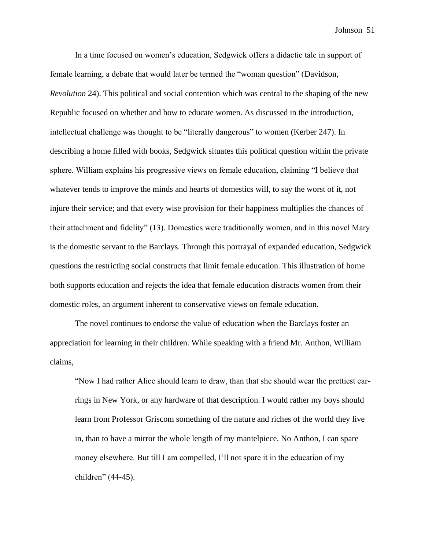In a time focused on women's education, Sedgwick offers a didactic tale in support of female learning, a debate that would later be termed the "woman question" (Davidson, *Revolution* 24). This political and social contention which was central to the shaping of the new Republic focused on whether and how to educate women. As discussed in the introduction, intellectual challenge was thought to be "literally dangerous" to women (Kerber 247). In describing a home filled with books, Sedgwick situates this political question within the private sphere. William explains his progressive views on female education, claiming "I believe that whatever tends to improve the minds and hearts of domestics will, to say the worst of it, not injure their service; and that every wise provision for their happiness multiplies the chances of their attachment and fidelity" (13). Domestics were traditionally women, and in this novel Mary is the domestic servant to the Barclays. Through this portrayal of expanded education, Sedgwick questions the restricting social constructs that limit female education. This illustration of home both supports education and rejects the idea that female education distracts women from their domestic roles, an argument inherent to conservative views on female education.

The novel continues to endorse the value of education when the Barclays foster an appreciation for learning in their children. While speaking with a friend Mr. Anthon, William claims,

"Now I had rather Alice should learn to draw, than that she should wear the prettiest earrings in New York, or any hardware of that description. I would rather my boys should learn from Professor Griscom something of the nature and riches of the world they live in, than to have a mirror the whole length of my mantelpiece. No Anthon, I can spare money elsewhere. But till I am compelled, I'll not spare it in the education of my children" (44-45).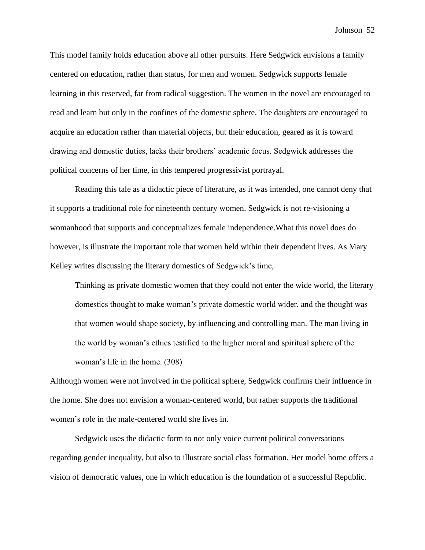This model family holds education above all other pursuits. Here Sedgwick envisions a family centered on education, rather than status, for men and women. Sedgwick supports female learning in this reserved, far from radical suggestion. The women in the novel are encouraged to read and learn but only in the confines of the domestic sphere. The daughters are encouraged to acquire an education rather than material objects, but their education, geared as it is toward drawing and domestic duties, lacks their brothers' academic focus. Sedgwick addresses the political concerns of her time, in this tempered progressivist portrayal.

Reading this tale as a didactic piece of literature, as it was intended, one cannot deny that it supports a traditional role for nineteenth century women. Sedgwick is not re-visioning a womanhood that supports and conceptualizes female independence.What this novel does do however, is illustrate the important role that women held within their dependent lives. As Mary Kelley writes discussing the literary domestics of Sedgwick's time,

Thinking as private domestic women that they could not enter the wide world, the literary domestics thought to make woman's private domestic world wider, and the thought was that women would shape society, by influencing and controlling man. The man living in the world by woman's ethics testified to the higher moral and spiritual sphere of the woman's life in the home. (308)

Although women were not involved in the political sphere, Sedgwick confirms their influence in the home. She does not envision a woman-centered world, but rather supports the traditional women's role in the male-centered world she lives in.

Sedgwick uses the didactic form to not only voice current political conversations regarding gender inequality, but also to illustrate social class formation. Her model home offers a vision of democratic values, one in which education is the foundation of a successful Republic.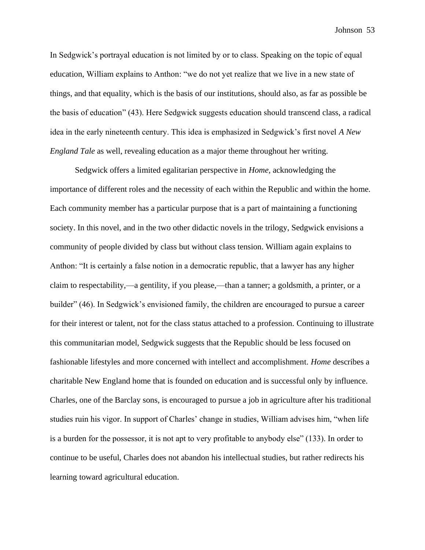In Sedgwick's portrayal education is not limited by or to class. Speaking on the topic of equal education, William explains to Anthon: "we do not yet realize that we live in a new state of things, and that equality, which is the basis of our institutions, should also, as far as possible be the basis of education" (43). Here Sedgwick suggests education should transcend class, a radical idea in the early nineteenth century. This idea is emphasized in Sedgwick's first novel *A New England Tale* as well, revealing education as a major theme throughout her writing.

Sedgwick offers a limited egalitarian perspective in *Home,* acknowledging the importance of different roles and the necessity of each within the Republic and within the home. Each community member has a particular purpose that is a part of maintaining a functioning society. In this novel, and in the two other didactic novels in the trilogy, Sedgwick envisions a community of people divided by class but without class tension. William again explains to Anthon: "It is certainly a false notion in a democratic republic, that a lawyer has any higher claim to respectability,—a gentility, if you please,—than a tanner; a goldsmith, a printer, or a builder" (46). In Sedgwick's envisioned family, the children are encouraged to pursue a career for their interest or talent, not for the class status attached to a profession. Continuing to illustrate this communitarian model, Sedgwick suggests that the Republic should be less focused on fashionable lifestyles and more concerned with intellect and accomplishment. *Home* describes a charitable New England home that is founded on education and is successful only by influence. Charles, one of the Barclay sons, is encouraged to pursue a job in agriculture after his traditional studies ruin his vigor. In support of Charles' change in studies, William advises him, "when life is a burden for the possessor, it is not apt to very profitable to anybody else" (133). In order to continue to be useful, Charles does not abandon his intellectual studies, but rather redirects his learning toward agricultural education.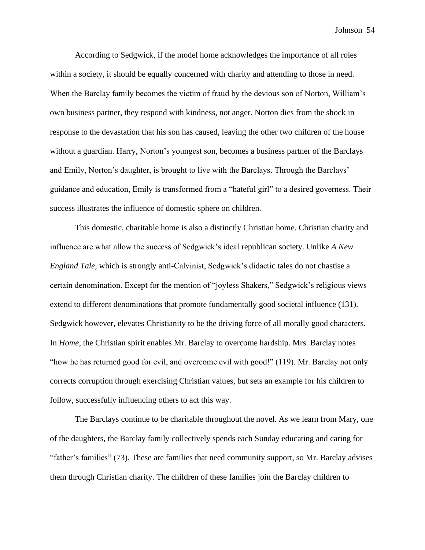According to Sedgwick, if the model home acknowledges the importance of all roles within a society, it should be equally concerned with charity and attending to those in need. When the Barclay family becomes the victim of fraud by the devious son of Norton, William's own business partner, they respond with kindness, not anger. Norton dies from the shock in response to the devastation that his son has caused, leaving the other two children of the house without a guardian. Harry, Norton's youngest son, becomes a business partner of the Barclays and Emily, Norton's daughter, is brought to live with the Barclays. Through the Barclays' guidance and education, Emily is transformed from a "hateful girl" to a desired governess. Their success illustrates the influence of domestic sphere on children.

This domestic, charitable home is also a distinctly Christian home. Christian charity and influence are what allow the success of Sedgwick's ideal republican society. Unlike *A New England Tale,* which is strongly anti-Calvinist, Sedgwick's didactic tales do not chastise a certain denomination. Except for the mention of "joyless Shakers," Sedgwick's religious views extend to different denominations that promote fundamentally good societal influence (131). Sedgwick however, elevates Christianity to be the driving force of all morally good characters. In *Home*, the Christian spirit enables Mr. Barclay to overcome hardship. Mrs. Barclay notes "how he has returned good for evil, and overcome evil with good!" (119). Mr. Barclay not only corrects corruption through exercising Christian values, but sets an example for his children to follow, successfully influencing others to act this way.

The Barclays continue to be charitable throughout the novel. As we learn from Mary, one of the daughters, the Barclay family collectively spends each Sunday educating and caring for "father's families" (73). These are families that need community support, so Mr. Barclay advises them through Christian charity. The children of these families join the Barclay children to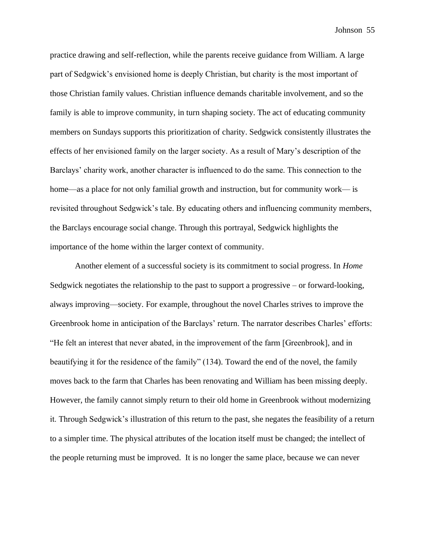practice drawing and self-reflection, while the parents receive guidance from William. A large part of Sedgwick's envisioned home is deeply Christian, but charity is the most important of those Christian family values. Christian influence demands charitable involvement, and so the family is able to improve community, in turn shaping society. The act of educating community members on Sundays supports this prioritization of charity. Sedgwick consistently illustrates the effects of her envisioned family on the larger society. As a result of Mary's description of the Barclays' charity work, another character is influenced to do the same. This connection to the home—as a place for not only familial growth and instruction, but for community work— is revisited throughout Sedgwick's tale. By educating others and influencing community members, the Barclays encourage social change. Through this portrayal, Sedgwick highlights the importance of the home within the larger context of community.

Another element of a successful society is its commitment to social progress. In *Home* Sedgwick negotiates the relationship to the past to support a progressive – or forward-looking, always improving—society. For example, throughout the novel Charles strives to improve the Greenbrook home in anticipation of the Barclays' return. The narrator describes Charles' efforts: "He felt an interest that never abated, in the improvement of the farm [Greenbrook], and in beautifying it for the residence of the family" (134). Toward the end of the novel, the family moves back to the farm that Charles has been renovating and William has been missing deeply. However, the family cannot simply return to their old home in Greenbrook without modernizing it. Through Sedgwick's illustration of this return to the past, she negates the feasibility of a return to a simpler time. The physical attributes of the location itself must be changed; the intellect of the people returning must be improved. It is no longer the same place, because we can never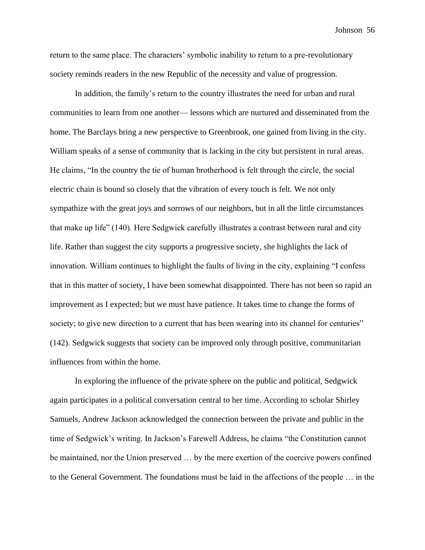return to the same place. The characters' symbolic inability to return to a pre-revolutionary society reminds readers in the new Republic of the necessity and value of progression.

In addition, the family's return to the country illustrates the need for urban and rural communities to learn from one another— lessons which are nurtured and disseminated from the home. The Barclays bring a new perspective to Greenbrook, one gained from living in the city. William speaks of a sense of community that is lacking in the city but persistent in rural areas. He claims, "In the country the tie of human brotherhood is felt through the circle, the social electric chain is bound so closely that the vibration of every touch is felt. We not only sympathize with the great joys and sorrows of our neighbors, but in all the little circumstances that make up life" (140). Here Sedgwick carefully illustrates a contrast between rural and city life. Rather than suggest the city supports a progressive society, she highlights the lack of innovation. William continues to highlight the faults of living in the city, explaining "I confess that in this matter of society, I have been somewhat disappointed. There has not been so rapid an improvement as I expected; but we must have patience. It takes time to change the forms of society; to give new direction to a current that has been wearing into its channel for centuries" (142). Sedgwick suggests that society can be improved only through positive, communitarian influences from within the home.

In exploring the influence of the private sphere on the public and political, Sedgwick again participates in a political conversation central to her time. According to scholar Shirley Samuels, Andrew Jackson acknowledged the connection between the private and public in the time of Sedgwick's writing. In Jackson's Farewell Address, he claims "the Constitution cannot be maintained, nor the Union preserved … by the mere exertion of the coercive powers confined to the General Government. The foundations must be laid in the affections of the people … in the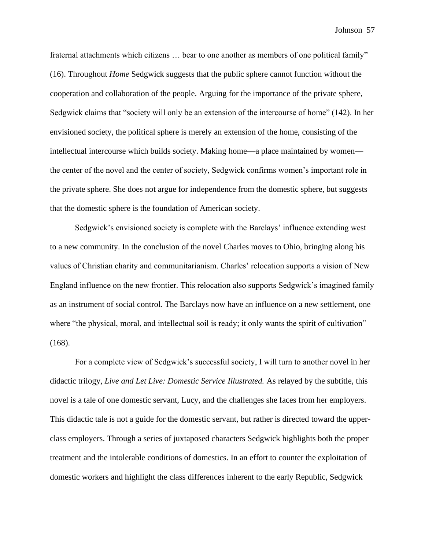fraternal attachments which citizens … bear to one another as members of one political family" (16). Throughout *Home* Sedgwick suggests that the public sphere cannot function without the cooperation and collaboration of the people. Arguing for the importance of the private sphere, Sedgwick claims that "society will only be an extension of the intercourse of home" (142). In her envisioned society, the political sphere is merely an extension of the home, consisting of the intellectual intercourse which builds society. Making home—a place maintained by women the center of the novel and the center of society, Sedgwick confirms women's important role in the private sphere. She does not argue for independence from the domestic sphere, but suggests that the domestic sphere is the foundation of American society.

Sedgwick's envisioned society is complete with the Barclays' influence extending west to a new community. In the conclusion of the novel Charles moves to Ohio, bringing along his values of Christian charity and communitarianism. Charles' relocation supports a vision of New England influence on the new frontier. This relocation also supports Sedgwick's imagined family as an instrument of social control. The Barclays now have an influence on a new settlement, one where "the physical, moral, and intellectual soil is ready; it only wants the spirit of cultivation" (168).

For a complete view of Sedgwick's successful society, I will turn to another novel in her didactic trilogy, *Live and Let Live: Domestic Service Illustrated.* As relayed by the subtitle, this novel is a tale of one domestic servant, Lucy, and the challenges she faces from her employers. This didactic tale is not a guide for the domestic servant, but rather is directed toward the upperclass employers. Through a series of juxtaposed characters Sedgwick highlights both the proper treatment and the intolerable conditions of domestics. In an effort to counter the exploitation of domestic workers and highlight the class differences inherent to the early Republic, Sedgwick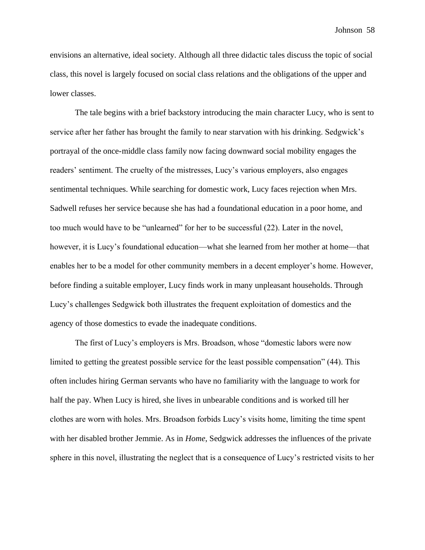envisions an alternative, ideal society. Although all three didactic tales discuss the topic of social class, this novel is largely focused on social class relations and the obligations of the upper and lower classes.

The tale begins with a brief backstory introducing the main character Lucy, who is sent to service after her father has brought the family to near starvation with his drinking. Sedgwick's portrayal of the once-middle class family now facing downward social mobility engages the readers' sentiment. The cruelty of the mistresses, Lucy's various employers, also engages sentimental techniques. While searching for domestic work, Lucy faces rejection when Mrs. Sadwell refuses her service because she has had a foundational education in a poor home, and too much would have to be "unlearned" for her to be successful (22). Later in the novel, however, it is Lucy's foundational education—what she learned from her mother at home—that enables her to be a model for other community members in a decent employer's home. However, before finding a suitable employer, Lucy finds work in many unpleasant households. Through Lucy's challenges Sedgwick both illustrates the frequent exploitation of domestics and the agency of those domestics to evade the inadequate conditions.

The first of Lucy's employers is Mrs. Broadson, whose "domestic labors were now limited to getting the greatest possible service for the least possible compensation" (44). This often includes hiring German servants who have no familiarity with the language to work for half the pay. When Lucy is hired, she lives in unbearable conditions and is worked till her clothes are worn with holes. Mrs. Broadson forbids Lucy's visits home, limiting the time spent with her disabled brother Jemmie. As in *Home*, Sedgwick addresses the influences of the private sphere in this novel, illustrating the neglect that is a consequence of Lucy's restricted visits to her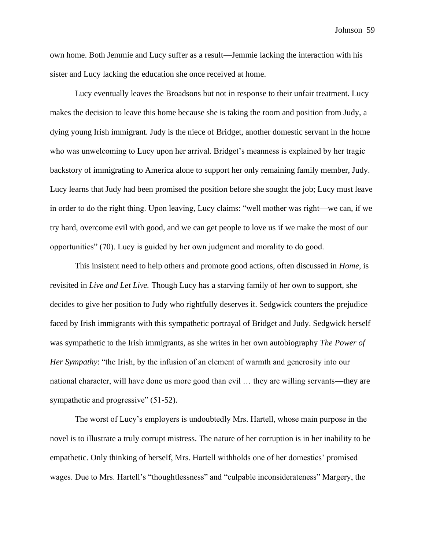own home. Both Jemmie and Lucy suffer as a result—Jemmie lacking the interaction with his sister and Lucy lacking the education she once received at home.

Lucy eventually leaves the Broadsons but not in response to their unfair treatment. Lucy makes the decision to leave this home because she is taking the room and position from Judy, a dying young Irish immigrant. Judy is the niece of Bridget, another domestic servant in the home who was unwelcoming to Lucy upon her arrival. Bridget's meanness is explained by her tragic backstory of immigrating to America alone to support her only remaining family member, Judy. Lucy learns that Judy had been promised the position before she sought the job; Lucy must leave in order to do the right thing. Upon leaving, Lucy claims: "well mother was right—we can, if we try hard, overcome evil with good, and we can get people to love us if we make the most of our opportunities" (70). Lucy is guided by her own judgment and morality to do good.

This insistent need to help others and promote good actions, often discussed in *Home,* is revisited in *Live and Let Live.* Though Lucy has a starving family of her own to support, she decides to give her position to Judy who rightfully deserves it. Sedgwick counters the prejudice faced by Irish immigrants with this sympathetic portrayal of Bridget and Judy. Sedgwick herself was sympathetic to the Irish immigrants, as she writes in her own autobiography *The Power of Her Sympathy*: "the Irish, by the infusion of an element of warmth and generosity into our national character, will have done us more good than evil … they are willing servants—they are sympathetic and progressive" (51-52).

The worst of Lucy's employers is undoubtedly Mrs. Hartell, whose main purpose in the novel is to illustrate a truly corrupt mistress. The nature of her corruption is in her inability to be empathetic. Only thinking of herself, Mrs. Hartell withholds one of her domestics' promised wages. Due to Mrs. Hartell's "thoughtlessness" and "culpable inconsiderateness" Margery, the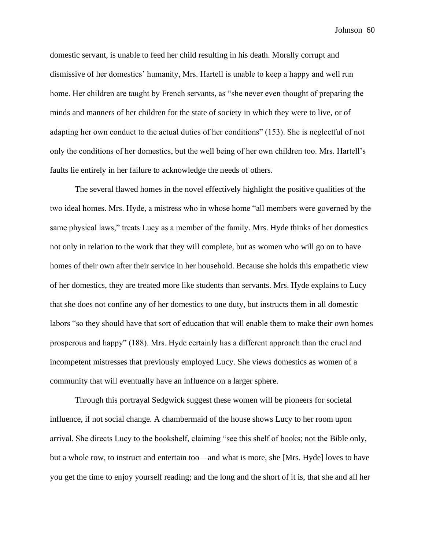domestic servant, is unable to feed her child resulting in his death. Morally corrupt and dismissive of her domestics' humanity, Mrs. Hartell is unable to keep a happy and well run home. Her children are taught by French servants, as "she never even thought of preparing the minds and manners of her children for the state of society in which they were to live, or of adapting her own conduct to the actual duties of her conditions" (153). She is neglectful of not only the conditions of her domestics, but the well being of her own children too. Mrs. Hartell's faults lie entirely in her failure to acknowledge the needs of others.

The several flawed homes in the novel effectively highlight the positive qualities of the two ideal homes. Mrs. Hyde, a mistress who in whose home "all members were governed by the same physical laws," treats Lucy as a member of the family. Mrs. Hyde thinks of her domestics not only in relation to the work that they will complete, but as women who will go on to have homes of their own after their service in her household. Because she holds this empathetic view of her domestics, they are treated more like students than servants. Mrs. Hyde explains to Lucy that she does not confine any of her domestics to one duty, but instructs them in all domestic labors "so they should have that sort of education that will enable them to make their own homes prosperous and happy" (188). Mrs. Hyde certainly has a different approach than the cruel and incompetent mistresses that previously employed Lucy. She views domestics as women of a community that will eventually have an influence on a larger sphere.

Through this portrayal Sedgwick suggest these women will be pioneers for societal influence, if not social change. A chambermaid of the house shows Lucy to her room upon arrival. She directs Lucy to the bookshelf, claiming "see this shelf of books; not the Bible only, but a whole row, to instruct and entertain too—and what is more, she [Mrs. Hyde] loves to have you get the time to enjoy yourself reading; and the long and the short of it is, that she and all her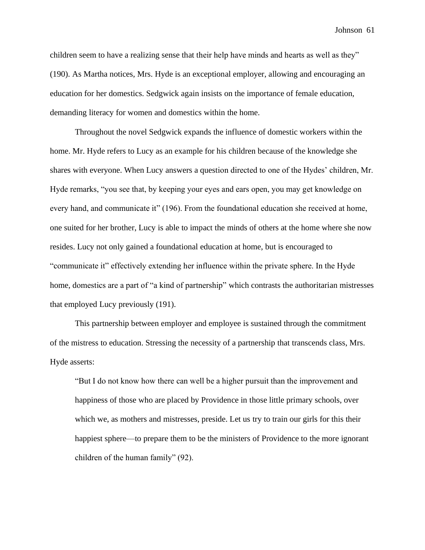children seem to have a realizing sense that their help have minds and hearts as well as they" (190). As Martha notices, Mrs. Hyde is an exceptional employer, allowing and encouraging an education for her domestics. Sedgwick again insists on the importance of female education, demanding literacy for women and domestics within the home.

Throughout the novel Sedgwick expands the influence of domestic workers within the home. Mr. Hyde refers to Lucy as an example for his children because of the knowledge she shares with everyone. When Lucy answers a question directed to one of the Hydes' children, Mr. Hyde remarks, "you see that, by keeping your eyes and ears open, you may get knowledge on every hand, and communicate it" (196). From the foundational education she received at home, one suited for her brother, Lucy is able to impact the minds of others at the home where she now resides. Lucy not only gained a foundational education at home, but is encouraged to "communicate it" effectively extending her influence within the private sphere. In the Hyde home, domestics are a part of "a kind of partnership" which contrasts the authoritarian mistresses that employed Lucy previously (191).

This partnership between employer and employee is sustained through the commitment of the mistress to education. Stressing the necessity of a partnership that transcends class, Mrs. Hyde asserts:

"But I do not know how there can well be a higher pursuit than the improvement and happiness of those who are placed by Providence in those little primary schools, over which we, as mothers and mistresses, preside. Let us try to train our girls for this their happiest sphere—to prepare them to be the ministers of Providence to the more ignorant children of the human family" (92).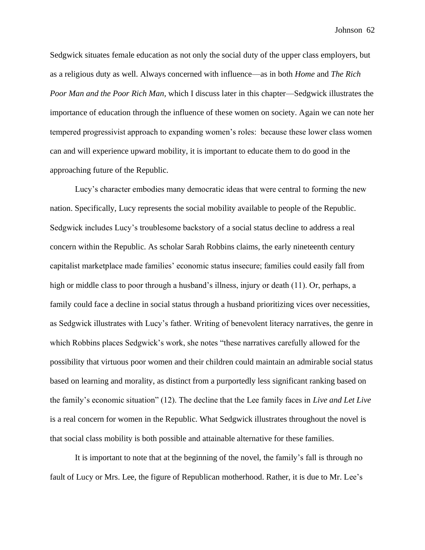Sedgwick situates female education as not only the social duty of the upper class employers, but as a religious duty as well. Always concerned with influence—as in both *Home* and *The Rich Poor Man and the Poor Rich Man,* which I discuss later in this chapter—Sedgwick illustrates the importance of education through the influence of these women on society. Again we can note her tempered progressivist approach to expanding women's roles: because these lower class women can and will experience upward mobility, it is important to educate them to do good in the approaching future of the Republic.

Lucy's character embodies many democratic ideas that were central to forming the new nation. Specifically, Lucy represents the social mobility available to people of the Republic. Sedgwick includes Lucy's troublesome backstory of a social status decline to address a real concern within the Republic. As scholar Sarah Robbins claims, the early nineteenth century capitalist marketplace made families' economic status insecure; families could easily fall from high or middle class to poor through a husband's illness, injury or death (11). Or, perhaps, a family could face a decline in social status through a husband prioritizing vices over necessities, as Sedgwick illustrates with Lucy's father. Writing of benevolent literacy narratives, the genre in which Robbins places Sedgwick's work, she notes "these narratives carefully allowed for the possibility that virtuous poor women and their children could maintain an admirable social status based on learning and morality, as distinct from a purportedly less significant ranking based on the family's economic situation" (12). The decline that the Lee family faces in *Live and Let Live*  is a real concern for women in the Republic. What Sedgwick illustrates throughout the novel is that social class mobility is both possible and attainable alternative for these families.

It is important to note that at the beginning of the novel, the family's fall is through no fault of Lucy or Mrs. Lee, the figure of Republican motherhood. Rather, it is due to Mr. Lee's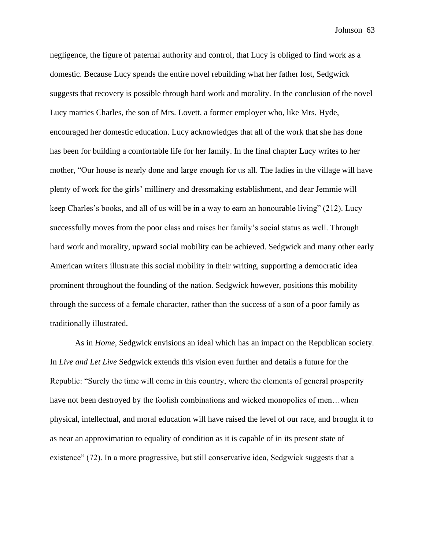negligence, the figure of paternal authority and control, that Lucy is obliged to find work as a domestic. Because Lucy spends the entire novel rebuilding what her father lost, Sedgwick suggests that recovery is possible through hard work and morality. In the conclusion of the novel Lucy marries Charles, the son of Mrs. Lovett, a former employer who, like Mrs. Hyde, encouraged her domestic education. Lucy acknowledges that all of the work that she has done has been for building a comfortable life for her family. In the final chapter Lucy writes to her mother, "Our house is nearly done and large enough for us all. The ladies in the village will have plenty of work for the girls' millinery and dressmaking establishment, and dear Jemmie will keep Charles's books, and all of us will be in a way to earn an honourable living" (212). Lucy successfully moves from the poor class and raises her family's social status as well. Through hard work and morality, upward social mobility can be achieved. Sedgwick and many other early American writers illustrate this social mobility in their writing, supporting a democratic idea prominent throughout the founding of the nation. Sedgwick however, positions this mobility through the success of a female character, rather than the success of a son of a poor family as traditionally illustrated.

As in *Home,* Sedgwick envisions an ideal which has an impact on the Republican society. In *Live and Let Live* Sedgwick extends this vision even further and details a future for the Republic: "Surely the time will come in this country, where the elements of general prosperity have not been destroyed by the foolish combinations and wicked monopolies of men...when physical, intellectual, and moral education will have raised the level of our race, and brought it to as near an approximation to equality of condition as it is capable of in its present state of existence" (72). In a more progressive, but still conservative idea, Sedgwick suggests that a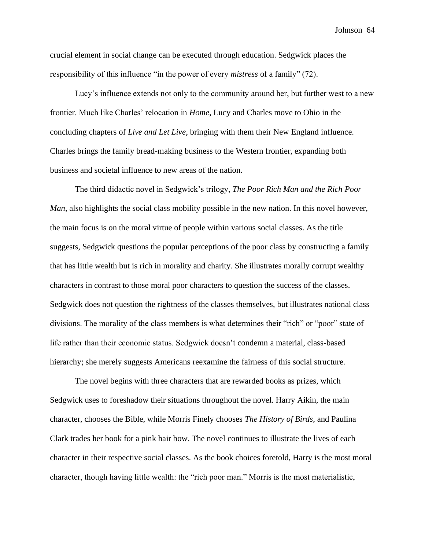crucial element in social change can be executed through education. Sedgwick places the responsibility of this influence "in the power of every *mistress* of a family" (72).

Lucy's influence extends not only to the community around her, but further west to a new frontier. Much like Charles' relocation in *Home*, Lucy and Charles move to Ohio in the concluding chapters of *Live and Let Live*, bringing with them their New England influence. Charles brings the family bread-making business to the Western frontier, expanding both business and societal influence to new areas of the nation.

The third didactic novel in Sedgwick's trilogy, *The Poor Rich Man and the Rich Poor Man*, also highlights the social class mobility possible in the new nation. In this novel however, the main focus is on the moral virtue of people within various social classes. As the title suggests, Sedgwick questions the popular perceptions of the poor class by constructing a family that has little wealth but is rich in morality and charity. She illustrates morally corrupt wealthy characters in contrast to those moral poor characters to question the success of the classes. Sedgwick does not question the rightness of the classes themselves, but illustrates national class divisions. The morality of the class members is what determines their "rich" or "poor" state of life rather than their economic status. Sedgwick doesn't condemn a material, class-based hierarchy; she merely suggests Americans reexamine the fairness of this social structure.

The novel begins with three characters that are rewarded books as prizes, which Sedgwick uses to foreshadow their situations throughout the novel. Harry Aikin, the main character, chooses the Bible, while Morris Finely chooses *The History of Birds*, and Paulina Clark trades her book for a pink hair bow. The novel continues to illustrate the lives of each character in their respective social classes. As the book choices foretold, Harry is the most moral character, though having little wealth: the "rich poor man." Morris is the most materialistic,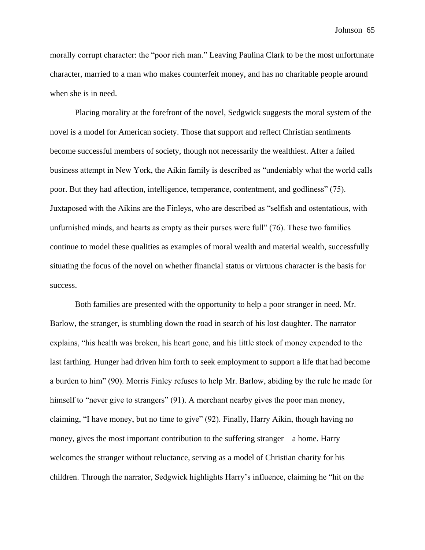morally corrupt character: the "poor rich man." Leaving Paulina Clark to be the most unfortunate character, married to a man who makes counterfeit money, and has no charitable people around when she is in need.

Placing morality at the forefront of the novel, Sedgwick suggests the moral system of the novel is a model for American society. Those that support and reflect Christian sentiments become successful members of society, though not necessarily the wealthiest. After a failed business attempt in New York, the Aikin family is described as "undeniably what the world calls poor. But they had affection, intelligence, temperance, contentment, and godliness" (75). Juxtaposed with the Aikins are the Finleys, who are described as "selfish and ostentatious, with unfurnished minds, and hearts as empty as their purses were full" (76). These two families continue to model these qualities as examples of moral wealth and material wealth, successfully situating the focus of the novel on whether financial status or virtuous character is the basis for success.

Both families are presented with the opportunity to help a poor stranger in need. Mr. Barlow, the stranger, is stumbling down the road in search of his lost daughter. The narrator explains, "his health was broken, his heart gone, and his little stock of money expended to the last farthing. Hunger had driven him forth to seek employment to support a life that had become a burden to him" (90). Morris Finley refuses to help Mr. Barlow, abiding by the rule he made for himself to "never give to strangers" (91). A merchant nearby gives the poor man money, claiming, "I have money, but no time to give" (92). Finally, Harry Aikin, though having no money, gives the most important contribution to the suffering stranger—a home. Harry welcomes the stranger without reluctance, serving as a model of Christian charity for his children. Through the narrator, Sedgwick highlights Harry's influence, claiming he "hit on the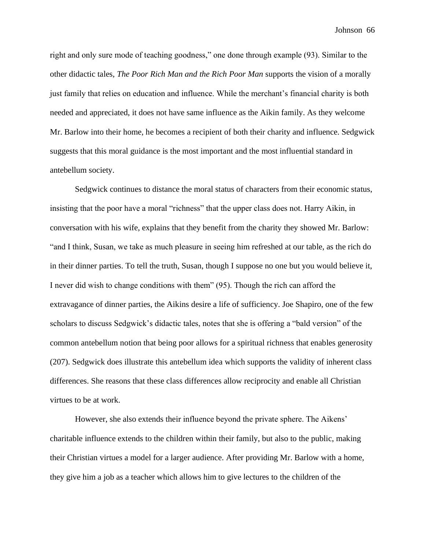right and only sure mode of teaching goodness," one done through example (93). Similar to the other didactic tales, *The Poor Rich Man and the Rich Poor Man* supports the vision of a morally just family that relies on education and influence. While the merchant's financial charity is both needed and appreciated, it does not have same influence as the Aikin family. As they welcome Mr. Barlow into their home, he becomes a recipient of both their charity and influence. Sedgwick suggests that this moral guidance is the most important and the most influential standard in antebellum society.

Sedgwick continues to distance the moral status of characters from their economic status, insisting that the poor have a moral "richness" that the upper class does not. Harry Aikin, in conversation with his wife, explains that they benefit from the charity they showed Mr. Barlow: "and I think, Susan, we take as much pleasure in seeing him refreshed at our table, as the rich do in their dinner parties. To tell the truth, Susan, though I suppose no one but you would believe it, I never did wish to change conditions with them" (95). Though the rich can afford the extravagance of dinner parties, the Aikins desire a life of sufficiency. Joe Shapiro, one of the few scholars to discuss Sedgwick's didactic tales, notes that she is offering a "bald version" of the common antebellum notion that being poor allows for a spiritual richness that enables generosity (207). Sedgwick does illustrate this antebellum idea which supports the validity of inherent class differences. She reasons that these class differences allow reciprocity and enable all Christian virtues to be at work.

However, she also extends their influence beyond the private sphere. The Aikens' charitable influence extends to the children within their family, but also to the public, making their Christian virtues a model for a larger audience. After providing Mr. Barlow with a home, they give him a job as a teacher which allows him to give lectures to the children of the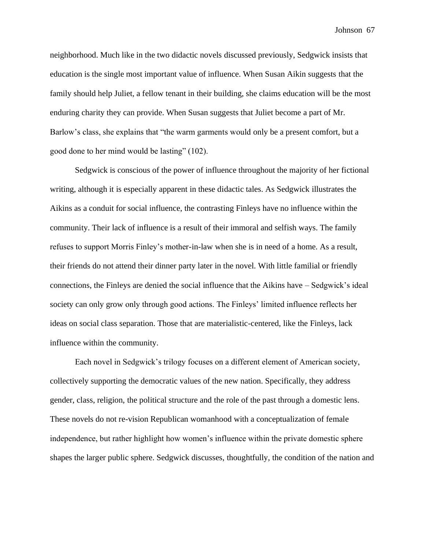neighborhood. Much like in the two didactic novels discussed previously, Sedgwick insists that education is the single most important value of influence. When Susan Aikin suggests that the family should help Juliet, a fellow tenant in their building, she claims education will be the most enduring charity they can provide. When Susan suggests that Juliet become a part of Mr. Barlow's class, she explains that "the warm garments would only be a present comfort, but a good done to her mind would be lasting" (102).

Sedgwick is conscious of the power of influence throughout the majority of her fictional writing, although it is especially apparent in these didactic tales. As Sedgwick illustrates the Aikins as a conduit for social influence, the contrasting Finleys have no influence within the community. Their lack of influence is a result of their immoral and selfish ways. The family refuses to support Morris Finley's mother-in-law when she is in need of a home. As a result, their friends do not attend their dinner party later in the novel. With little familial or friendly connections, the Finleys are denied the social influence that the Aikins have – Sedgwick's ideal society can only grow only through good actions. The Finleys' limited influence reflects her ideas on social class separation. Those that are materialistic-centered, like the Finleys, lack influence within the community.

Each novel in Sedgwick's trilogy focuses on a different element of American society, collectively supporting the democratic values of the new nation. Specifically, they address gender, class, religion, the political structure and the role of the past through a domestic lens. These novels do not re-vision Republican womanhood with a conceptualization of female independence, but rather highlight how women's influence within the private domestic sphere shapes the larger public sphere. Sedgwick discusses, thoughtfully, the condition of the nation and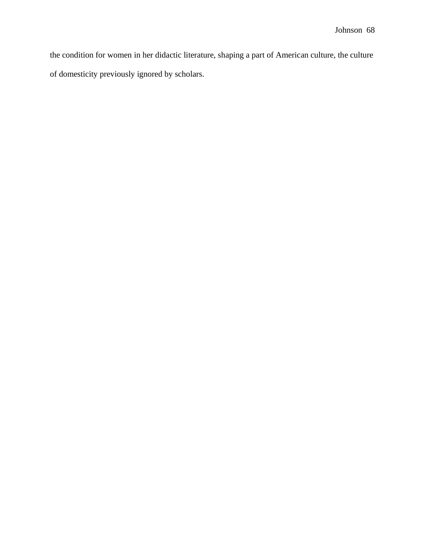the condition for women in her didactic literature, shaping a part of American culture, the culture of domesticity previously ignored by scholars.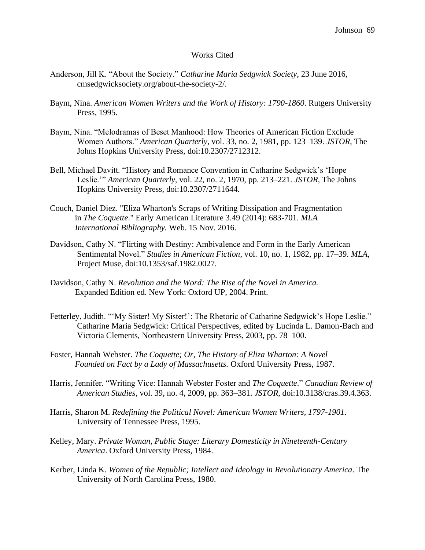#### Works Cited

- Anderson, Jill K. "About the Society." *Catharine Maria Sedgwick Society*, 23 June 2016, cmsedgwicksociety.org/about-the-society-2/.
- Baym, Nina. *American Women Writers and the Work of History: 1790-1860*. Rutgers University Press, 1995.
- Baym, Nina. "Melodramas of Beset Manhood: How Theories of American Fiction Exclude Women Authors." *American Quarterly*, vol. 33, no. 2, 1981, pp. 123–139. *JSTOR*, The Johns Hopkins University Press, doi:10.2307/2712312.
- Bell, Michael Davitt. "History and Romance Convention in Catharine Sedgwick's 'Hope Leslie.'" *American Quarterly*, vol. 22, no. 2, 1970, pp. 213–221. *JSTOR*, The Johns Hopkins University Press, doi:10.2307/2711644.
- Couch, Daniel Diez. "Eliza Wharton's Scraps of Writing Dissipation and Fragmentation in *The Coquette*." Early American Literature 3.49 (2014): 683-701. *MLA International Bibliography.* Web. 15 Nov. 2016.
- Davidson, Cathy N. "Flirting with Destiny: Ambivalence and Form in the Early American Sentimental Novel." *Studies in American Fiction*, vol. 10, no. 1, 1982, pp. 17–39. *MLA*, Project Muse, doi:10.1353/saf.1982.0027.
- Davidson, Cathy N. *Revolution and the Word: The Rise of the Novel in America.*  Expanded Edition ed. New York: Oxford UP, 2004. Print.
- Fetterley, Judith. "'My Sister! My Sister!': The Rhetoric of Catharine Sedgwick's Hope Leslie." Catharine Maria Sedgwick: Critical Perspectives, edited by Lucinda L. Damon-Bach and Victoria Clements, Northeastern University Press, 2003, pp. 78–100.
- Foster, Hannah Webster. *The Coquette; Or, The History of Eliza Wharton: A Novel Founded on Fact by a Lady of Massachusetts.* Oxford University Press, 1987.
- Harris, Jennifer. "Writing Vice: Hannah Webster Foster and *The Coquette*." *Canadian Review of American Studies*, vol. 39, no. 4, 2009, pp. 363–381. *JSTOR*, doi:10.3138/cras.39.4.363.
- Harris, Sharon M. *Redefining the Political Novel: American Women Writers, 1797-1901*. University of Tennessee Press, 1995.
- Kelley, Mary. *Private Woman, Public Stage: Literary Domesticity in Nineteenth-Century America*. Oxford University Press, 1984.
- Kerber, Linda K. *Women of the Republic; Intellect and Ideology in Revolutionary America*. The University of North Carolina Press, 1980.